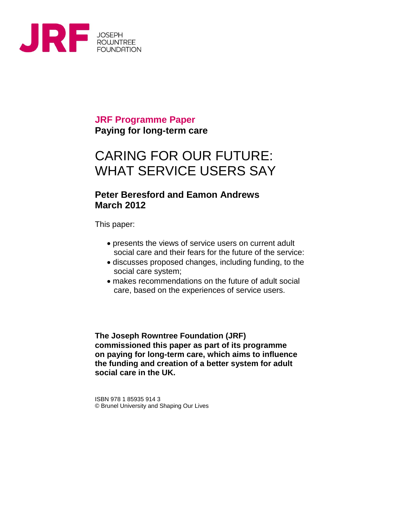

### **JRF Programme Paper Paying for long-term care**

# CARING FOR OUR FUTURE: WHAT SERVICE USERS SAY

#### **Peter Beresford and Eamon Andrews March 2012**

This paper:

- presents the views of service users on current adult social care and their fears for the future of the service:
- discusses proposed changes, including funding, to the social care system;
- makes recommendations on the future of adult social care, based on the experiences of service users.

**The Joseph Rowntree Foundation (JRF) commissioned this paper as part of its programme on paying for long-term care, which aims to influence the funding and creation of a better system for adult social care in the UK.**

ISBN 978 1 85935 914 3 © Brunel University and Shaping Our Lives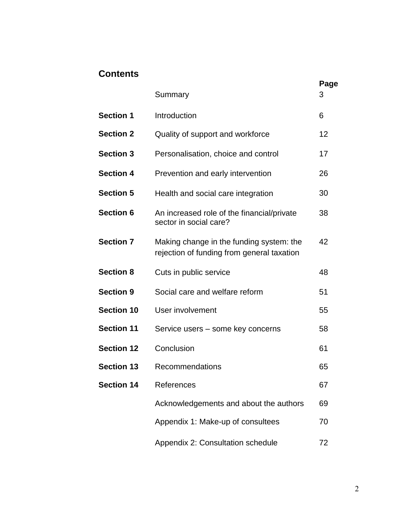### **Contents**

|                   | Summary                                                                                | Page<br>3 |
|-------------------|----------------------------------------------------------------------------------------|-----------|
| <b>Section 1</b>  | Introduction                                                                           | 6         |
| <b>Section 2</b>  | Quality of support and workforce                                                       | 12        |
| <b>Section 3</b>  | Personalisation, choice and control                                                    | 17        |
| <b>Section 4</b>  | Prevention and early intervention                                                      | 26        |
| <b>Section 5</b>  | Health and social care integration                                                     | 30        |
| <b>Section 6</b>  | An increased role of the financial/private<br>sector in social care?                   | 38        |
| <b>Section 7</b>  | Making change in the funding system: the<br>rejection of funding from general taxation | 42        |
| <b>Section 8</b>  | Cuts in public service                                                                 | 48        |
| <b>Section 9</b>  | Social care and welfare reform                                                         | 51        |
| <b>Section 10</b> | User involvement                                                                       | 55        |
| <b>Section 11</b> | Service users – some key concerns                                                      | 58        |
| <b>Section 12</b> | Conclusion                                                                             | 61        |
| <b>Section 13</b> | Recommendations                                                                        | 65        |
| <b>Section 14</b> | References                                                                             | 67        |
|                   | Acknowledgements and about the authors                                                 | 69        |
|                   | Appendix 1: Make-up of consultees                                                      | 70        |
|                   | Appendix 2: Consultation schedule                                                      | 72        |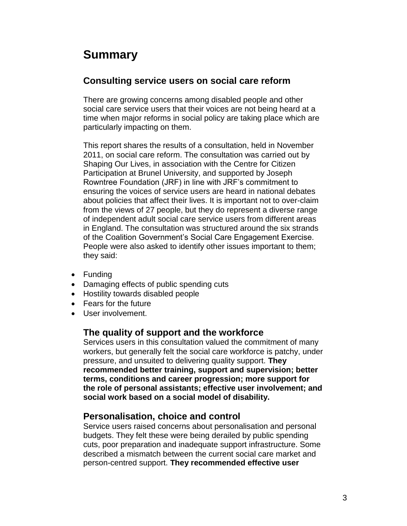## **Summary**

### **Consulting service users on social care reform**

There are growing concerns among disabled people and other social care service users that their voices are not being heard at a time when major reforms in social policy are taking place which are particularly impacting on them.

This report shares the results of a consultation, held in November 2011, on social care reform. The consultation was carried out by Shaping Our Lives, in association with the Centre for Citizen Participation at Brunel University, and supported by Joseph Rowntree Foundation (JRF) in line with JRF's commitment to ensuring the voices of service users are heard in national debates about policies that affect their lives. It is important not to over-claim from the views of 27 people, but they do represent a diverse range of independent adult social care service users from different areas in England. The consultation was structured around the six strands of the Coalition Government's Social Care Engagement Exercise. People were also asked to identify other issues important to them; they said:

- Funding
- Damaging effects of public spending cuts
- Hostility towards disabled people
- Fears for the future
- User involvement.

#### **The quality of support and the workforce**

Services users in this consultation valued the commitment of many workers, but generally felt the social care workforce is patchy, under pressure, and unsuited to delivering quality support. **They recommended better training, support and supervision; better terms, conditions and career progression; more support for the role of personal assistants; effective user involvement; and social work based on a social model of disability.**

#### **Personalisation, choice and control**

Service users raised concerns about personalisation and personal budgets. They felt these were being derailed by public spending cuts, poor preparation and inadequate support infrastructure. Some described a mismatch between the current social care market and person-centred support. **They recommended effective user**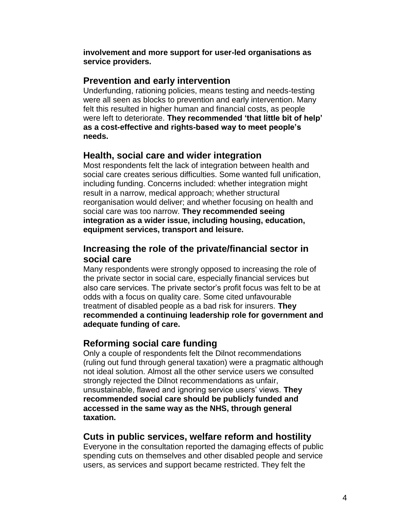**involvement and more support for user-led organisations as service providers.**

#### **Prevention and early intervention**

Underfunding, rationing policies, means testing and needs-testing were all seen as blocks to prevention and early intervention. Many felt this resulted in higher human and financial costs, as people were left to deteriorate. **They recommended 'that little bit of help' as a cost-effective and rights-based way to meet people's needs.** 

#### **Health, social care and wider integration**

Most respondents felt the lack of integration between health and social care creates serious difficulties. Some wanted full unification, including funding. Concerns included: whether integration might result in a narrow, medical approach; whether structural reorganisation would deliver; and whether focusing on health and social care was too narrow. **They recommended seeing integration as a wider issue, including housing, education, equipment services, transport and leisure.**

### **Increasing the role of the private/financial sector in social care**

Many respondents were strongly opposed to increasing the role of the private sector in social care, especially financial services but also care services. The private sector's profit focus was felt to be at odds with a focus on quality care. Some cited unfavourable treatment of disabled people as a bad risk for insurers. **They recommended a continuing leadership role for government and adequate funding of care.**

### **Reforming social care funding**

Only a couple of respondents felt the Dilnot recommendations (ruling out fund through general taxation) were a pragmatic although not ideal solution. Almost all the other service users we consulted strongly rejected the Dilnot recommendations as unfair, unsustainable, flawed and ignoring service users' views. **They recommended social care should be publicly funded and accessed in the same way as the NHS, through general taxation.**

#### **Cuts in public services, welfare reform and hostility**

Everyone in the consultation reported the damaging effects of public spending cuts on themselves and other disabled people and service users, as services and support became restricted. They felt the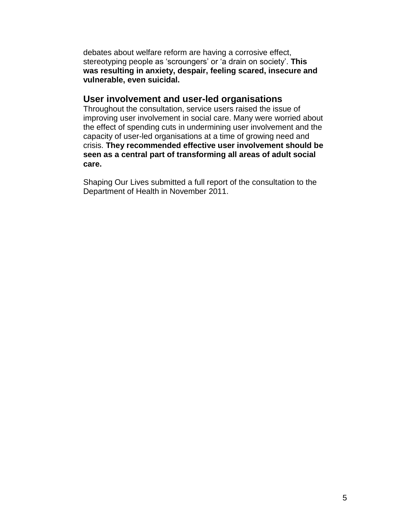debates about welfare reform are having a corrosive effect, stereotyping people as 'scroungers' or 'a drain on society'. **This was resulting in anxiety, despair, feeling scared, insecure and vulnerable, even suicidal.** 

#### **User involvement and user-led organisations**

Throughout the consultation, service users raised the issue of improving user involvement in social care. Many were worried about the effect of spending cuts in undermining user involvement and the capacity of user-led organisations at a time of growing need and crisis. **They recommended effective user involvement should be seen as a central part of transforming all areas of adult social care.** 

Shaping Our Lives submitted a full report of the consultation to the Department of Health in November 2011.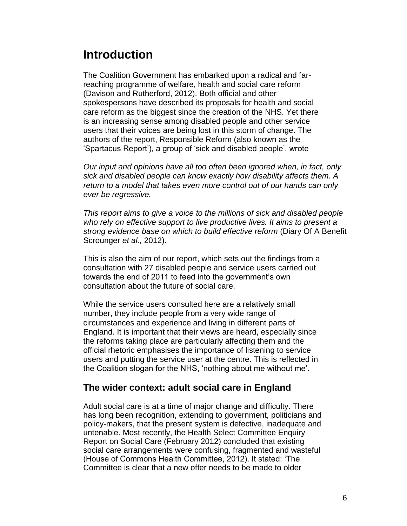## **Introduction**

The Coalition Government has embarked upon a radical and farreaching programme of welfare, health and social care reform (Davison and Rutherford, 2012). Both official and other spokespersons have described its proposals for health and social care reform as the biggest since the creation of the NHS. Yet there is an increasing sense among disabled people and other service users that their voices are being lost in this storm of change. The authors of the report, Responsible Reform (also known as the 'Spartacus Report'), a group of 'sick and disabled people', wrote

*Our input and opinions have all too often been ignored when, in fact, only sick and disabled people can know exactly how disability affects them. A return to a model that takes even more control out of our hands can only ever be regressive.*

*This report aims to give a voice to the millions of sick and disabled people who rely on effective support to live productive lives. It aims to present a strong evidence base on which to build effective reform* (Diary Of A Benefit Scrounger *et al.,* 2012).

This is also the aim of our report, which sets out the findings from a consultation with 27 disabled people and service users carried out towards the end of 2011 to feed into the government's own consultation about the future of social care.

While the service users consulted here are a relatively small number, they include people from a very wide range of circumstances and experience and living in different parts of England. It is important that their views are heard, especially since the reforms taking place are particularly affecting them and the official rhetoric emphasises the importance of listening to service users and putting the service user at the centre. This is reflected in the Coalition slogan for the NHS, 'nothing about me without me'.

#### **The wider context: adult social care in England**

Adult social care is at a time of major change and difficulty. There has long been recognition, extending to government, politicians and policy-makers, that the present system is defective, inadequate and untenable. Most recently, the Health Select Committee Enquiry Report on Social Care (February 2012) concluded that existing social care arrangements were confusing, fragmented and wasteful (House of Commons Health Committee, 2012). It stated: 'The Committee is clear that a new offer needs to be made to older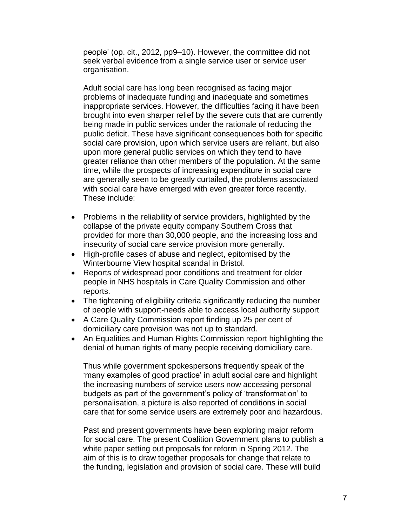people' (op. cit., 2012, pp9–10). However, the committee did not seek verbal evidence from a single service user or service user organisation.

Adult social care has long been recognised as facing major problems of inadequate funding and inadequate and sometimes inappropriate services. However, the difficulties facing it have been brought into even sharper relief by the severe cuts that are currently being made in public services under the rationale of reducing the public deficit. These have significant consequences both for specific social care provision, upon which service users are reliant, but also upon more general public services on which they tend to have greater reliance than other members of the population. At the same time, while the prospects of increasing expenditure in social care are generally seen to be greatly curtailed, the problems associated with social care have emerged with even greater force recently. These include:

- Problems in the reliability of service providers, highlighted by the collapse of the private equity company Southern Cross that provided for more than 30,000 people, and the increasing loss and insecurity of social care service provision more generally.
- High-profile cases of abuse and neglect, epitomised by the Winterbourne View hospital scandal in Bristol.
- Reports of widespread poor conditions and treatment for older people in NHS hospitals in Care Quality Commission and other reports.
- The tightening of eligibility criteria significantly reducing the number of people with support-needs able to access local authority support
- A Care Quality Commission report finding up 25 per cent of domiciliary care provision was not up to standard.
- An Equalities and Human Rights Commission report highlighting the denial of human rights of many people receiving domiciliary care.

Thus while government spokespersons frequently speak of the 'many examples of good practice' in adult social care and highlight the increasing numbers of service users now accessing personal budgets as part of the government's policy of 'transformation' to personalisation, a picture is also reported of conditions in social care that for some service users are extremely poor and hazardous.

Past and present governments have been exploring major reform for social care. The present Coalition Government plans to publish a white paper setting out proposals for reform in Spring 2012. The aim of this is to draw together proposals for change that relate to the funding, legislation and provision of social care. These will build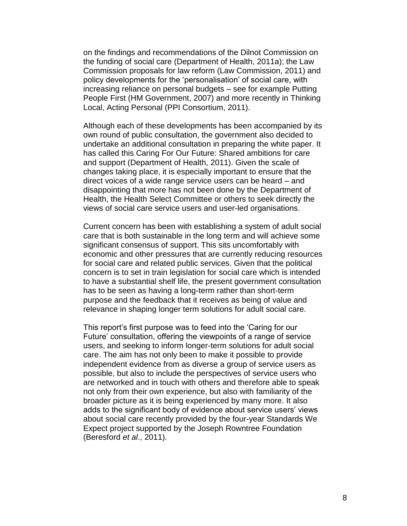on the findings and recommendations of the Dilnot Commission on the funding of social care (Department of Health, 2011a); the Law Commission proposals for law reform (Law Commission, 2011) and policy developments for the 'personalisation' of social care, with increasing reliance on personal budgets – see for example Putting People First (HM Government, 2007) and more recently in Thinking Local, Acting Personal (PPI Consortium, 2011).

Although each of these developments has been accompanied by its own round of public consultation, the government also decided to undertake an additional consultation in preparing the white paper. It has called this Caring For Our Future: Shared ambitions for care and support (Department of Health, 2011). Given the scale of changes taking place, it is especially important to ensure that the direct voices of a wide range service users can be heard – and disappointing that more has not been done by the Department of Health, the Health Select Committee or others to seek directly the views of social care service users and user-led organisations.

Current concern has been with establishing a system of adult social care that is both sustainable in the long term and will achieve some significant consensus of support. This sits uncomfortably with economic and other pressures that are currently reducing resources for social care and related public services. Given that the political concern is to set in train legislation for social care which is intended to have a substantial shelf life, the present government consultation has to be seen as having a long-term rather than short-term purpose and the feedback that it receives as being of value and relevance in shaping longer term solutions for adult social care.

This report's first purpose was to feed into the 'Caring for our Future' consultation, offering the viewpoints of a range of service users, and seeking to inform longer-term solutions for adult social care. The aim has not only been to make it possible to provide independent evidence from as diverse a group of service users as possible, but also to include the perspectives of service users who are networked and in touch with others and therefore able to speak not only from their own experience, but also with familiarity of the broader picture as it is being experienced by many more. It also adds to the significant body of evidence about service users' views about social care recently provided by the four-year Standards We Expect project supported by the Joseph Rowntree Foundation (Beresford *et al*., 2011).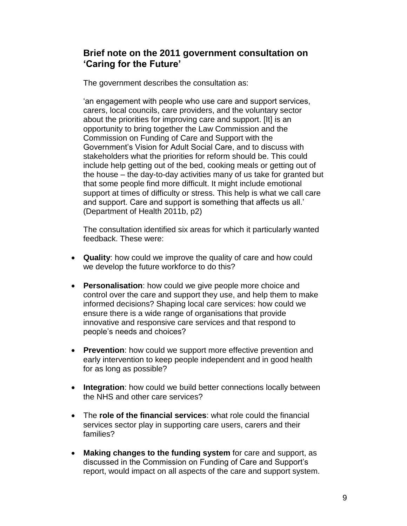### **Brief note on the 2011 government consultation on 'Caring for the Future'**

The government describes the consultation as:

'an engagement with people who use care and support services, carers, local councils, care providers, and the voluntary sector about the priorities for improving care and support. [It] is an opportunity to bring together the Law Commission and the Commission on Funding of Care and Support with the Government's Vision for Adult Social Care, and to discuss with stakeholders what the priorities for reform should be. This could include help getting out of the bed, cooking meals or getting out of the house – the day-to-day activities many of us take for granted but that some people find more difficult. It might include emotional support at times of difficulty or stress. This help is what we call care and support. Care and support is something that affects us all.' (Department of Health 2011b, p2)

The consultation identified six areas for which it particularly wanted feedback. These were:

- **Quality**: how could we improve the quality of care and how could we develop the future workforce to do this?
- **Personalisation**: how could we give people more choice and control over the care and support they use, and help them to make informed decisions? Shaping local care services: how could we ensure there is a wide range of organisations that provide innovative and responsive care services and that respond to people's needs and choices?
- **Prevention**: how could we support more effective prevention and early intervention to keep people independent and in good health for as long as possible?
- **Integration**: how could we build better connections locally between the NHS and other care services?
- The **role of the financial services**: what role could the financial services sector play in supporting care users, carers and their families?
- **Making changes to the funding system** for care and support, as discussed in the Commission on Funding of Care and Support's report, would impact on all aspects of the care and support system.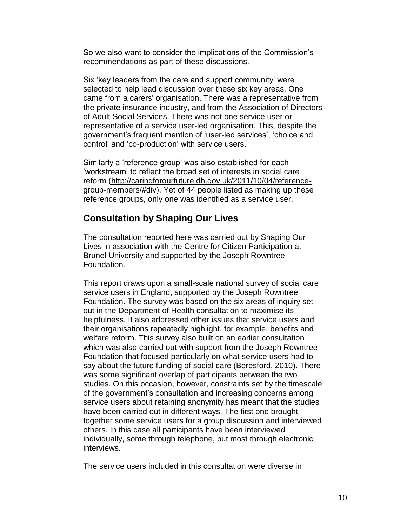So we also want to consider the implications of the Commission's recommendations as part of these discussions.

Six 'key leaders from the care and support community' were selected to help lead discussion over these six key areas. One came from a carers' organisation. There was a representative from the private insurance industry, and from the Association of Directors of Adult Social Services. There was not one service user or representative of a service user-led organisation. This, despite the government's frequent mention of 'user-led services', 'choice and control' and 'co-production' with service users.

Similarly a 'reference group' was also established for each 'workstream' to reflect the broad set of interests in social care reform [\(http://caringforourfuture.dh.gov.uk/2011/10/04/reference](http://caringforourfuture.dh.gov.uk/2011/10/04/reference-group-members/#div)[group-members/#div\)](http://caringforourfuture.dh.gov.uk/2011/10/04/reference-group-members/#div). Yet of 44 people listed as making up these reference groups, only one was identified as a service user.

#### **Consultation by Shaping Our Lives**

The consultation reported here was carried out by Shaping Our Lives in association with the Centre for Citizen Participation at Brunel University and supported by the Joseph Rowntree Foundation.

This report draws upon a small-scale national survey of social care service users in England, supported by the Joseph Rowntree Foundation. The survey was based on the six areas of inquiry set out in the Department of Health consultation to maximise its helpfulness. It also addressed other issues that service users and their organisations repeatedly highlight, for example, benefits and welfare reform. This survey also built on an earlier consultation which was also carried out with support from the Joseph Rowntree Foundation that focused particularly on what service users had to say about the future funding of social care (Beresford, 2010). There was some significant overlap of participants between the two studies. On this occasion, however, constraints set by the timescale of the government's consultation and increasing concerns among service users about retaining anonymity has meant that the studies have been carried out in different ways. The first one brought together some service users for a group discussion and interviewed others. In this case all participants have been interviewed individually, some through telephone, but most through electronic interviews.

The service users included in this consultation were diverse in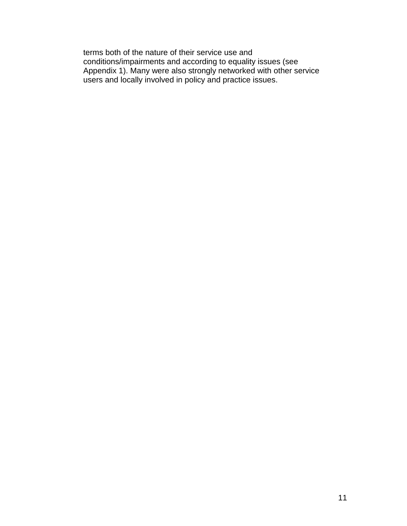terms both of the nature of their service use and conditions/impairments and according to equality issues (see Appendix 1). Many were also strongly networked with other service users and locally involved in policy and practice issues.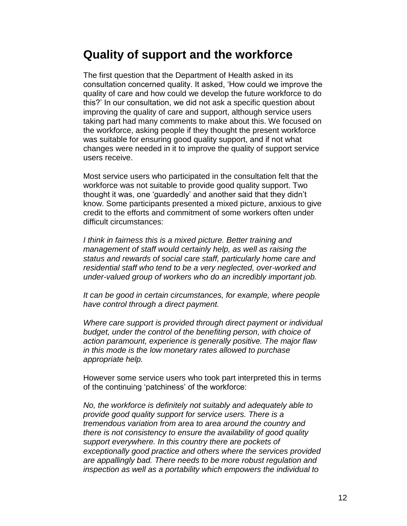## **Quality of support and the workforce**

The first question that the Department of Health asked in its consultation concerned quality. It asked, 'How could we improve the quality of care and how could we develop the future workforce to do this?' In our consultation, we did not ask a specific question about improving the quality of care and support, although service users taking part had many comments to make about this. We focused on the workforce, asking people if they thought the present workforce was suitable for ensuring good quality support, and if not what changes were needed in it to improve the quality of support service users receive.

Most service users who participated in the consultation felt that the workforce was not suitable to provide good quality support. Two thought it was, one 'guardedly' and another said that they didn't know. Some participants presented a mixed picture, anxious to give credit to the efforts and commitment of some workers often under difficult circumstances:

*I think in fairness this is a mixed picture. Better training and management of staff would certainly help, as well as raising the status and rewards of social care staff, particularly home care and residential staff who tend to be a very neglected, over-worked and under-valued group of workers who do an incredibly important job.* 

*It can be good in certain circumstances, for example, where people have control through a direct payment.*

*Where care support is provided through direct payment or individual budget, under the control of the benefiting person, with choice of action paramount, experience is generally positive. The major flaw in this mode is the low monetary rates allowed to purchase appropriate help.* 

However some service users who took part interpreted this in terms of the continuing 'patchiness' of the workforce:

*No, the workforce is definitely not suitably and adequately able to provide good quality support for service users. There is a tremendous variation from area to area around the country and there is not consistency to ensure the availability of good quality support everywhere. In this country there are pockets of exceptionally good practice and others where the services provided are appallingly bad. There needs to be more robust regulation and inspection as well as a portability which empowers the individual to*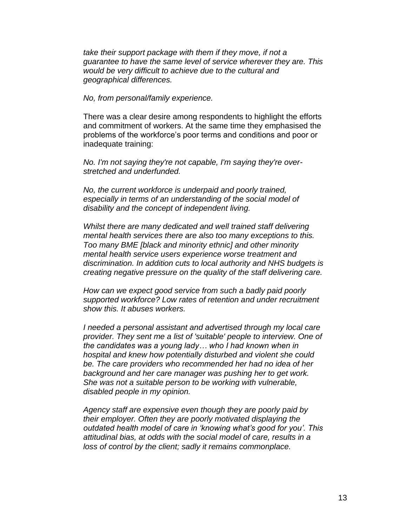*take their support package with them if they move, if not a guarantee to have the same level of service wherever they are. This would be very difficult to achieve due to the cultural and geographical differences.*

*No, from personal/family experience.*

There was a clear desire among respondents to highlight the efforts and commitment of workers. At the same time they emphasised the problems of the workforce's poor terms and conditions and poor or inadequate training:

*No. I'm not saying they're not capable, I'm saying they're overstretched and underfunded.*

*No, the current workforce is underpaid and poorly trained, especially in terms of an understanding of the social model of disability and the concept of independent living.*

*Whilst there are many dedicated and well trained staff delivering mental health services there are also too many exceptions to this. Too many BME [black and minority ethnic] and other minority mental health service users experience worse treatment and discrimination. In addition cuts to local authority and NHS budgets is creating negative pressure on the quality of the staff delivering care.*

*How can we expect good service from such a badly paid poorly supported workforce? Low rates of retention and under recruitment show this. It abuses workers.*

*I needed a personal assistant and advertised through my local care provider. They sent me a list of 'suitable' people to interview. One of the candidates was a young lady… who I had known when in hospital and knew how potentially disturbed and violent she could be. The care providers who recommended her had no idea of her background and her care manager was pushing her to get work. She was not a suitable person to be working with vulnerable, disabled people in my opinion.*

*Agency staff are expensive even though they are poorly paid by their employer. Often they are poorly motivated displaying the outdated health model of care in 'knowing what's good for you'. This attitudinal bias, at odds with the social model of care, results in a loss of control by the client; sadly it remains commonplace.*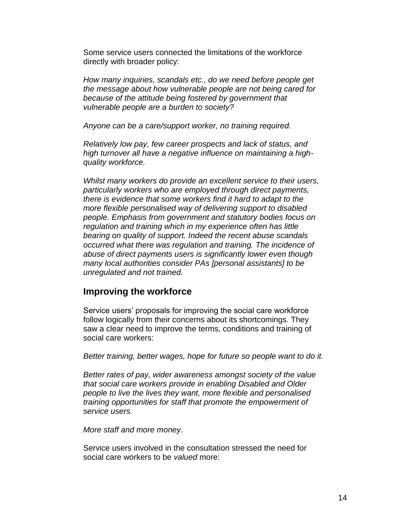Some service users connected the limitations of the workforce directly with broader policy:

*How many inquiries, scandals etc., do we need before people get the message about how vulnerable people are not being cared for because of the attitude being fostered by government that vulnerable people are a burden to society?*

*Anyone can be a care/support worker, no training required.*

*Relatively low pay, few career prospects and lack of status, and high turnover all have a negative influence on maintaining a highquality workforce.* 

*Whilst many workers do provide an excellent service to their users, particularly workers who are employed through direct payments, there is evidence that some workers find it hard to adapt to the more flexible personalised way of delivering support to disabled people. Emphasis from government and statutory bodies focus on regulation and training which in my experience often has little bearing on quality of support. Indeed the recent abuse scandals occurred what there was regulation and training. The incidence of abuse of direct payments users is significantly lower even though many local authorities consider PAs [personal assistants] to be unregulated and not trained.*

#### **Improving the workforce**

Service users' proposals for improving the social care workforce follow logically from their concerns about its shortcomings. They saw a clear need to improve the terms, conditions and training of social care workers:

*Better training, better wages, hope for future so people want to do it.*

*Better rates of pay, wider awareness amongst society of the value that social care workers provide in enabling Disabled and Older people to live the lives they want, more flexible and personalised training opportunities for staff that promote the empowerment of service users.*

*More staff and more money*.

Service users involved in the consultation stressed the need for social care workers to be *valued* more: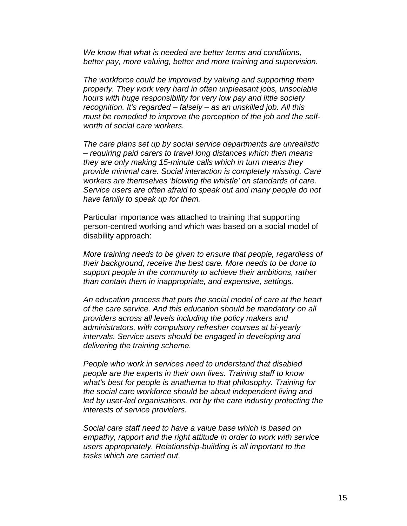*We know that what is needed are better terms and conditions, better pay, more valuing, better and more training and supervision.*

*The workforce could be improved by valuing and supporting them properly. They work very hard in often unpleasant jobs, unsociable hours with huge responsibility for very low pay and little society recognition. It's regarded – falsely – as an unskilled job. All this must be remedied to improve the perception of the job and the selfworth of social care workers.*

*The care plans set up by social service departments are unrealistic – requiring paid carers to travel long distances which then means they are only making 15-minute calls which in turn means they provide minimal care. Social interaction is completely missing. Care workers are themselves 'blowing the whistle' on standards of care. Service users are often afraid to speak out and many people do not have family to speak up for them.*

Particular importance was attached to training that supporting person-centred working and which was based on a social model of disability approach:

*More training needs to be given to ensure that people, regardless of their background, receive the best care. More needs to be done to support people in the community to achieve their ambitions, rather than contain them in inappropriate, and expensive, settings.*

*An education process that puts the social model of care at the heart of the care service. And this education should be mandatory on all providers across all levels including the policy makers and administrators, with compulsory refresher courses at bi-yearly intervals. Service users should be engaged in developing and delivering the training scheme.*

*People who work in services need to understand that disabled people are the experts in their own lives. Training staff to know what's best for people is anathema to that philosophy. Training for the social care workforce should be about independent living and led by user-led organisations, not by the care industry protecting the interests of service providers.*

*Social care staff need to have a value base which is based on empathy, rapport and the right attitude in order to work with service users appropriately. Relationship-building is all important to the tasks which are carried out.*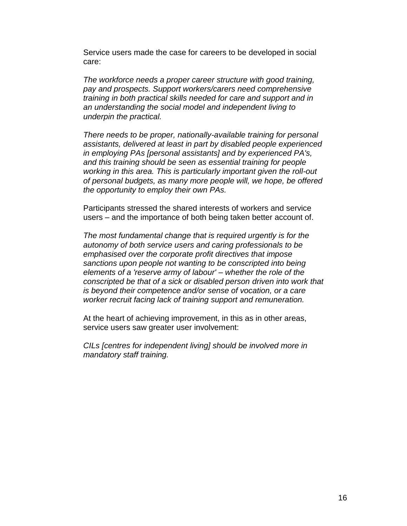Service users made the case for careers to be developed in social care:

*The workforce needs a proper career structure with good training, pay and prospects. Support workers/carers need comprehensive training in both practical skills needed for care and support and in an understanding the social model and independent living to underpin the practical.*

*There needs to be proper, nationally-available training for personal assistants, delivered at least in part by disabled people experienced in employing PAs [personal assistants] and by experienced PA's, and this training should be seen as essential training for people working in this area. This is particularly important given the roll-out of personal budgets, as many more people will, we hope, be offered the opportunity to employ their own PAs.*

Participants stressed the shared interests of workers and service users – and the importance of both being taken better account of.

*The most fundamental change that is required urgently is for the autonomy of both service users and caring professionals to be emphasised over the corporate profit directives that impose sanctions upon people not wanting to be conscripted into being elements of a 'reserve army of labour' – whether the role of the conscripted be that of a sick or disabled person driven into work that is beyond their competence and/or sense of vocation, or a care worker recruit facing lack of training support and remuneration.*

At the heart of achieving improvement, in this as in other areas, service users saw greater user involvement:

*CILs [centres for independent living] should be involved more in mandatory staff training.*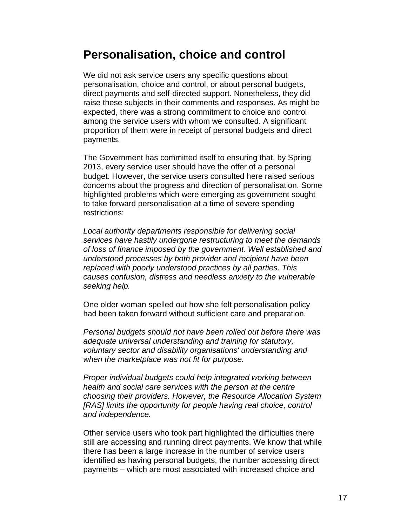## **Personalisation, choice and control**

We did not ask service users any specific questions about personalisation, choice and control, or about personal budgets, direct payments and self-directed support. Nonetheless, they did raise these subjects in their comments and responses. As might be expected, there was a strong commitment to choice and control among the service users with whom we consulted. A significant proportion of them were in receipt of personal budgets and direct payments.

The Government has committed itself to ensuring that, by Spring 2013, every service user should have the offer of a personal budget. However, the service users consulted here raised serious concerns about the progress and direction of personalisation. Some highlighted problems which were emerging as government sought to take forward personalisation at a time of severe spending restrictions:

*Local authority departments responsible for delivering social services have hastily undergone restructuring to meet the demands of loss of finance imposed by the government. Well established and understood processes by both provider and recipient have been replaced with poorly understood practices by all parties. This causes confusion, distress and needless anxiety to the vulnerable seeking help.*

One older woman spelled out how she felt personalisation policy had been taken forward without sufficient care and preparation.

*Personal budgets should not have been rolled out before there was adequate universal understanding and training for statutory, voluntary sector and disability organisations' understanding and when the marketplace was not fit for purpose.*

*Proper individual budgets could help integrated working between health and social care services with the person at the centre choosing their providers. However, the Resource Allocation System [RAS] limits the opportunity for people having real choice, control and independence.*

Other service users who took part highlighted the difficulties there still are accessing and running direct payments. We know that while there has been a large increase in the number of service users identified as having personal budgets, the number accessing direct payments – which are most associated with increased choice and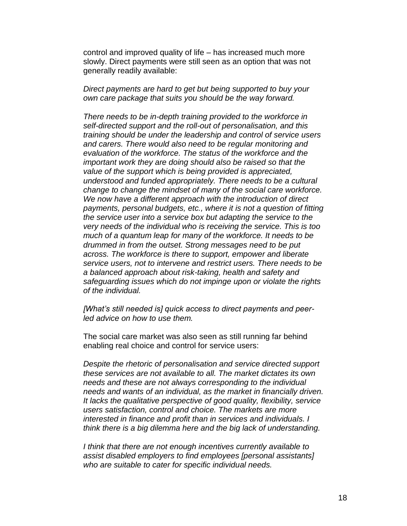control and improved quality of life – has increased much more slowly. Direct payments were still seen as an option that was not generally readily available:

*Direct payments are hard to get but being supported to buy your own care package that suits you should be the way forward.*

*There needs to be in-depth training provided to the workforce in self-directed support and the roll-out of personalisation, and this training should be under the leadership and control of service users and carers. There would also need to be regular monitoring and evaluation of the workforce. The status of the workforce and the important work they are doing should also be raised so that the value of the support which is being provided is appreciated, understood and funded appropriately. There needs to be a cultural change to change the mindset of many of the social care workforce. We now have a different approach with the introduction of direct payments, personal budgets, etc., where it is not a question of fitting the service user into a service box but adapting the service to the very needs of the individual who is receiving the service. This is too much of a quantum leap for many of the workforce. It needs to be drummed in from the outset. Strong messages need to be put across. The workforce is there to support, empower and liberate service users, not to intervene and restrict users. There needs to be a balanced approach about risk-taking, health and safety and safeguarding issues which do not impinge upon or violate the rights of the individual.*

*[What's still needed is] quick access to direct payments and peerled advice on how to use them.*

The social care market was also seen as still running far behind enabling real choice and control for service users:

*Despite the rhetoric of personalisation and service directed support these services are not available to all. The market dictates its own needs and these are not always corresponding to the individual needs and wants of an individual, as the market in financially driven. It lacks the qualitative perspective of good quality, flexibility, service users satisfaction, control and choice. The markets are more interested in finance and profit than in services and individuals. I think there is a big dilemma here and the big lack of understanding.*

*I think that there are not enough incentives currently available to assist disabled employers to find employees [personal assistants] who are suitable to cater for specific individual needs.*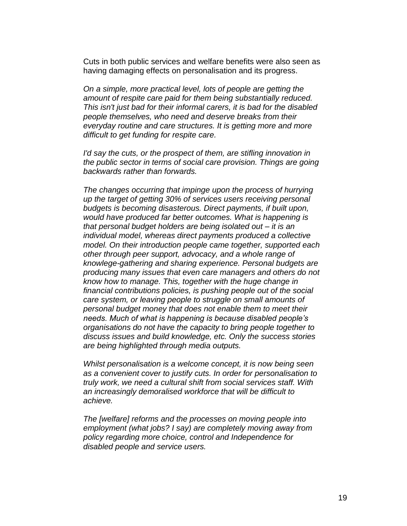Cuts in both public services and welfare benefits were also seen as having damaging effects on personalisation and its progress.

*On a simple, more practical level, lots of people are getting the amount of respite care paid for them being substantially reduced. This isn't just bad for their informal carers, it is bad for the disabled people themselves, who need and deserve breaks from their everyday routine and care structures. It is getting more and more difficult to get funding for respite care.*

*I'd say the cuts, or the prospect of them, are stifling innovation in the public sector in terms of social care provision. Things are going backwards rather than forwards.*

*The changes occurring that impinge upon the process of hurrying up the target of getting 30% of services users receiving personal budgets is becoming disasterous. Direct payments, if built upon, would have produced far better outcomes. What is happening is that personal budget holders are being isolated out – it is an individual model, whereas direct payments produced a collective model. On their introduction people came together, supported each other through peer support, advocacy, and a whole range of knowlege-gathering and sharing experience. Personal budgets are producing many issues that even care managers and others do not know how to manage. This, together with the huge change in financial contributions policies, is pushing people out of the social care system, or leaving people to struggle on small amounts of personal budget money that does not enable them to meet their needs. Much of what is happening is because disabled people's organisations do not have the capacity to bring people together to discuss issues and build knowledge, etc. Only the success stories are being highlighted through media outputs.*

*Whilst personalisation is a welcome concept, it is now being seen as a convenient cover to justify cuts. In order for personalisation to truly work, we need a cultural shift from social services staff. With an increasingly demoralised workforce that will be difficult to achieve.*

*The [welfare] reforms and the processes on moving people into employment (what jobs? I say) are completely moving away from policy regarding more choice, control and Independence for disabled people and service users.*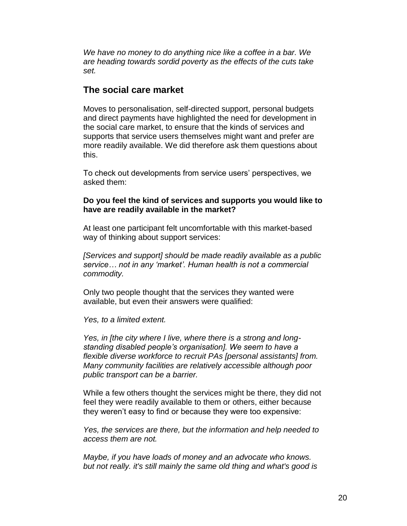*We have no money to do anything nice like a coffee in a bar. We are heading towards sordid poverty as the effects of the cuts take set.*

#### **The social care market**

Moves to personalisation, self-directed support, personal budgets and direct payments have highlighted the need for development in the social care market, to ensure that the kinds of services and supports that service users themselves might want and prefer are more readily available. We did therefore ask them questions about this.

To check out developments from service users' perspectives, we asked them:

#### **Do you feel the kind of services and supports you would like to have are readily available in the market?**

At least one participant felt uncomfortable with this market-based way of thinking about support services:

*[Services and support] should be made readily available as a public service… not in any 'market'. Human health is not a commercial commodity.*

Only two people thought that the services they wanted were available, but even their answers were qualified:

*Yes, to a limited extent.*

*Yes, in [the city where I live, where there is a strong and longstanding disabled people's organisation]. We seem to have a flexible diverse workforce to recruit PAs [personal assistants] from. Many community facilities are relatively accessible although poor public transport can be a barrier.*

While a few others thought the services might be there, they did not feel they were readily available to them or others, either because they weren't easy to find or because they were too expensive:

*Yes, the services are there, but the information and help needed to access them are not.*

*Maybe, if you have loads of money and an advocate who knows. but not really. it's still mainly the same old thing and what's good is*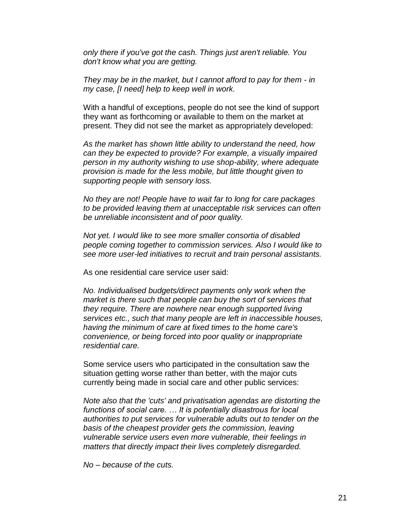*only there if you've got the cash. Things just aren't reliable. You don't know what you are getting.*

*They may be in the market, but I cannot afford to pay for them - in my case, [I need] help to keep well in work.*

With a handful of exceptions, people do not see the kind of support they want as forthcoming or available to them on the market at present. They did not see the market as appropriately developed:

*As the market has shown little ability to understand the need, how can they be expected to provide? For example, a visually impaired person in my authority wishing to use shop-ability, where adequate provision is made for the less mobile, but little thought given to supporting people with sensory loss.* 

*No they are not! People have to wait far to long for care packages to be provided leaving them at unacceptable risk services can often be unreliable inconsistent and of poor quality.*

*Not yet. I would like to see more smaller consortia of disabled people coming together to commission services. Also I would like to see more user-led initiatives to recruit and train personal assistants.*

As one residential care service user said:

*No. Individualised budgets/direct payments only work when the market is there such that people can buy the sort of services that they require. There are nowhere near enough supported living services etc., such that many people are left in inaccessible houses, having the minimum of care at fixed times to the home care's convenience, or being forced into poor quality or inappropriate residential care.*

Some service users who participated in the consultation saw the situation getting worse rather than better, with the major cuts currently being made in social care and other public services:

*Note also that the 'cuts' and privatisation agendas are distorting the functions of social care. … It is potentially disastrous for local authorities to put services for vulnerable adults out to tender on the basis of the cheapest provider gets the commission, leaving vulnerable service users even more vulnerable, their feelings in matters that directly impact their lives completely disregarded.*

*No – because of the cuts.*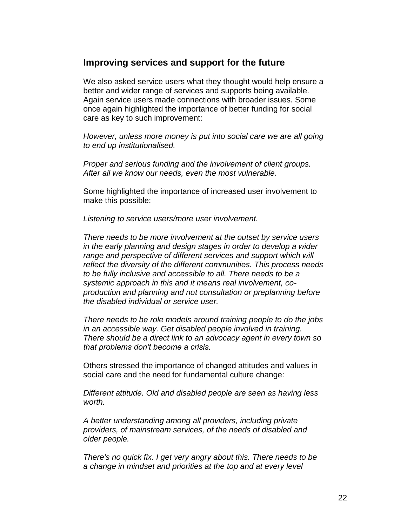#### **Improving services and support for the future**

We also asked service users what they thought would help ensure a better and wider range of services and supports being available. Again service users made connections with broader issues. Some once again highlighted the importance of better funding for social care as key to such improvement:

*However, unless more money is put into social care we are all going to end up institutionalised.*

*Proper and serious funding and the involvement of client groups. After all we know our needs, even the most vulnerable.*

Some highlighted the importance of increased user involvement to make this possible:

*Listening to service users/more user involvement.*

*There needs to be more involvement at the outset by service users in the early planning and design stages in order to develop a wider*  range and perspective of different services and support which will *reflect the diversity of the different communities. This process needs to be fully inclusive and accessible to all. There needs to be a systemic approach in this and it means real involvement, coproduction and planning and not consultation or preplanning before the disabled individual or service user.*

*There needs to be role models around training people to do the jobs in an accessible way. Get disabled people involved in training. There should be a direct link to an advocacy agent in every town so that problems don't become a crisis.*

Others stressed the importance of changed attitudes and values in social care and the need for fundamental culture change:

*Different attitude. Old and disabled people are seen as having less worth.*

*A better understanding among all providers, including private providers, of mainstream services, of the needs of disabled and older people.*

*There's no quick fix. I get very angry about this. There needs to be a change in mindset and priorities at the top and at every level*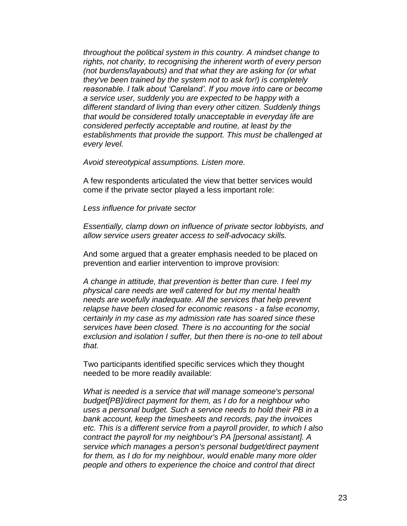*throughout the political system in this country. A mindset change to rights, not charity, to recognising the inherent worth of every person (not burdens/layabouts) and that what they are asking for (or what they've been trained by the system not to ask for!) is completely reasonable. I talk about 'Careland'. If you move into care or become a service user, suddenly you are expected to be happy with a different standard of living than every other citizen. Suddenly things that would be considered totally unacceptable in everyday life are considered perfectly acceptable and routine, at least by the establishments that provide the support. This must be challenged at every level.*

*Avoid stereotypical assumptions. Listen more.*

A few respondents articulated the view that better services would come if the private sector played a less important role:

*Less influence for private sector*

*Essentially, clamp down on influence of private sector lobbyists, and allow service users greater access to self-advocacy skills.* 

And some argued that a greater emphasis needed to be placed on prevention and earlier intervention to improve provision:

*A change in attitude, that prevention is better than cure. I feel my physical care needs are well catered for but my mental health needs are woefully inadequate. All the services that help prevent relapse have been closed for economic reasons - a false economy, certainly in my case as my admission rate has soared since these services have been closed. There is no accounting for the social exclusion and isolation I suffer, but then there is no-one to tell about that.*

Two participants identified specific services which they thought needed to be more readily available:

*What is needed is a service that will manage someone's personal budget[PB]/direct payment for them, as I do for a neighbour who uses a personal budget. Such a service needs to hold their PB in a bank account, keep the timesheets and records, pay the invoices etc. This is a different service from a payroll provider, to which I also contract the payroll for my neighbour's PA [personal assistant]. A service which manages a person's personal budget/direct payment for them, as I do for my neighbour, would enable many more older people and others to experience the choice and control that direct*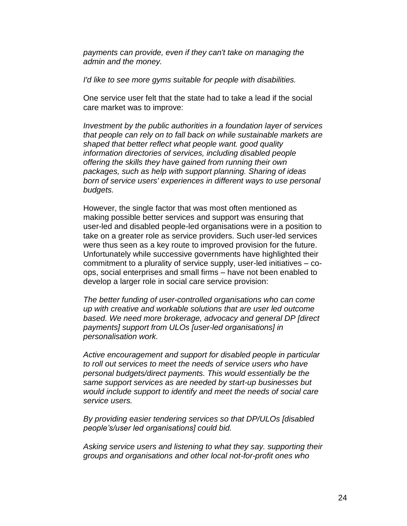*payments can provide, even if they can't take on managing the admin and the money.*

*I'd like to see more gyms suitable for people with disabilities.*

One service user felt that the state had to take a lead if the social care market was to improve:

*Investment by the public authorities in a foundation layer of services that people can rely on to fall back on while sustainable markets are shaped that better reflect what people want. good quality information directories of services, including disabled people offering the skills they have gained from running their own packages, such as help with support planning. Sharing of ideas born of service users' experiences in different ways to use personal budgets.*

However, the single factor that was most often mentioned as making possible better services and support was ensuring that user-led and disabled people-led organisations were in a position to take on a greater role as service providers. Such user-led services were thus seen as a key route to improved provision for the future. Unfortunately while successive governments have highlighted their commitment to a plurality of service supply, user-led initiatives – coops, social enterprises and small firms – have not been enabled to develop a larger role in social care service provision:

*The better funding of user-controlled organisations who can come up with creative and workable solutions that are user led outcome based. We need more brokerage, advocacy and general DP [direct payments] support from ULOs [user-led organisations] in personalisation work.*

*Active encouragement and support for disabled people in particular to roll out services to meet the needs of service users who have personal budgets/direct payments. This would essentially be the same support services as are needed by start-up businesses but would include support to identify and meet the needs of social care service users.*

*By providing easier tendering services so that DP/ULOs [disabled people's/user led organisations] could bid.* 

*Asking service users and listening to what they say. supporting their groups and organisations and other local not-for-profit ones who*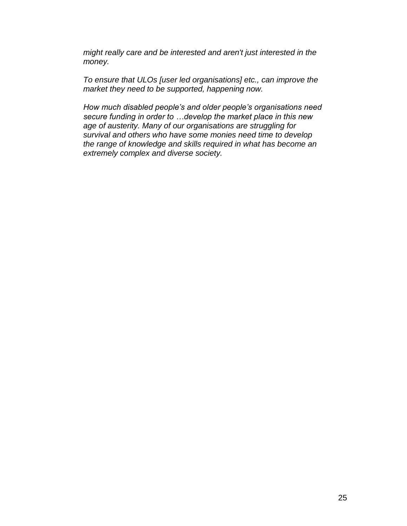*might really care and be interested and aren't just interested in the money.*

*To ensure that ULOs [user led organisations] etc., can improve the market they need to be supported, happening now.*

*How much disabled people's and older people's organisations need secure funding in order to …develop the market place in this new age of austerity. Many of our organisations are struggling for survival and others who have some monies need time to develop the range of knowledge and skills required in what has become an extremely complex and diverse society.*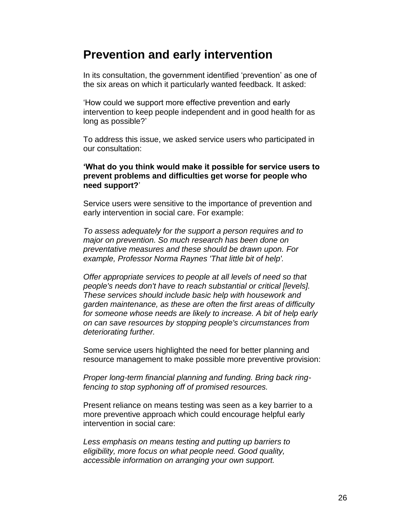## **Prevention and early intervention**

In its consultation, the government identified 'prevention' as one of the six areas on which it particularly wanted feedback. It asked:

'How could we support more effective prevention and early intervention to keep people independent and in good health for as long as possible?'

To address this issue, we asked service users who participated in our consultation:

#### **'What do you think would make it possible for service users to prevent problems and difficulties get worse for people who need support?**'

Service users were sensitive to the importance of prevention and early intervention in social care. For example:

*To assess adequately for the support a person requires and to major on prevention. So much research has been done on preventative measures and these should be drawn upon. For example, Professor Norma Raynes 'That little bit of help'.*

*Offer appropriate services to people at all levels of need so that people's needs don't have to reach substantial or critical [levels]. These services should include basic help with housework and garden maintenance, as these are often the first areas of difficulty for someone whose needs are likely to increase. A bit of help early on can save resources by stopping people's circumstances from deteriorating further.*

Some service users highlighted the need for better planning and resource management to make possible more preventive provision:

*Proper long-term financial planning and funding. Bring back ringfencing to stop syphoning off of promised resources.*

Present reliance on means testing was seen as a key barrier to a more preventive approach which could encourage helpful early intervention in social care:

*Less emphasis on means testing and putting up barriers to eligibility, more focus on what people need. Good quality, accessible information on arranging your own support.*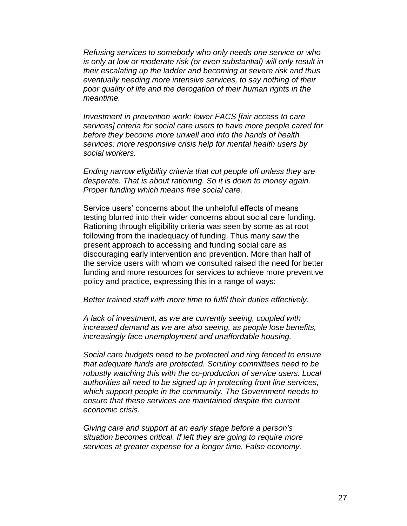*Refusing services to somebody who only needs one service or who is only at low or moderate risk (or even substantial) will only result in their escalating up the ladder and becoming at severe risk and thus eventually needing more intensive services, to say nothing of their poor quality of life and the derogation of their human rights in the meantime.*

*Investment in prevention work; lower FACS [fair access to care services] criteria for social care users to have more people cared for before they become more unwell and into the hands of health services; more responsive crisis help for mental health users by social workers.*

*Ending narrow eligibility criteria that cut people off unless they are desperate. That is about rationing. So it is down to money again. Proper funding which means free social care.*

Service users' concerns about the unhelpful effects of means testing blurred into their wider concerns about social care funding. Rationing through eligibility criteria was seen by some as at root following from the inadequacy of funding. Thus many saw the present approach to accessing and funding social care as discouraging early intervention and prevention. More than half of the service users with whom we consulted raised the need for better funding and more resources for services to achieve more preventive policy and practice, expressing this in a range of ways:

#### *Better trained staff with more time to fulfil their duties effectively.*

*A lack of investment, as we are currently seeing, coupled with increased demand as we are also seeing, as people lose benefits, increasingly face unemployment and unaffordable housing.*

*Social care budgets need to be protected and ring fenced to ensure that adequate funds are protected. Scrutiny committees need to be robustly watching this with the co-production of service users. Local authorities all need to be signed up in protecting front line services, which support people in the community. The Government needs to ensure that these services are maintained despite the current economic crisis.*

*Giving care and support at an early stage before a person's situation becomes critical. If left they are going to require more services at greater expense for a longer time. False economy.*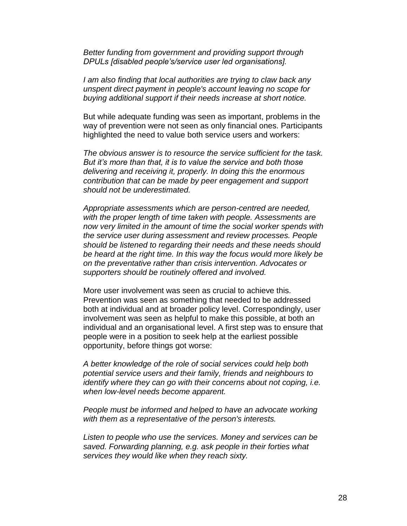*Better funding from government and providing support through DPULs [disabled people's/service user led organisations].*

*I am also finding that local authorities are trying to claw back any unspent direct payment in people's account leaving no scope for buying additional support if their needs increase at short notice.*

But while adequate funding was seen as important, problems in the way of prevention were not seen as only financial ones. Participants highlighted the need to value both service users and workers:

*The obvious answer is to resource the service sufficient for the task. But it's more than that, it is to value the service and both those delivering and receiving it, properly. In doing this the enormous contribution that can be made by peer engagement and support should not be underestimated.*

*Appropriate assessments which are person-centred are needed, with the proper length of time taken with people. Assessments are now very limited in the amount of time the social worker spends with the service user during assessment and review processes. People should be listened to regarding their needs and these needs should be heard at the right time. In this way the focus would more likely be on the preventative rather than crisis intervention. Advocates or supporters should be routinely offered and involved.*

More user involvement was seen as crucial to achieve this. Prevention was seen as something that needed to be addressed both at individual and at broader policy level. Correspondingly, user involvement was seen as helpful to make this possible, at both an individual and an organisational level. A first step was to ensure that people were in a position to seek help at the earliest possible opportunity, before things got worse:

*A better knowledge of the role of social services could help both potential service users and their family, friends and neighbours to identify where they can go with their concerns about not coping, i.e. when low-level needs become apparent.*

*People must be informed and helped to have an advocate working with them as a representative of the person's interests.*

*Listen to people who use the services. Money and services can be saved. Forwarding planning, e.g. ask people in their forties what services they would like when they reach sixty.*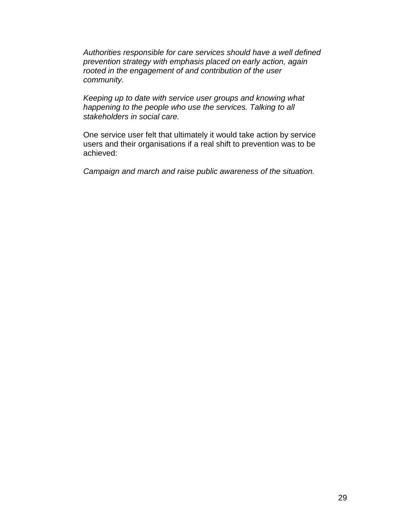*Authorities responsible for care services should have a well defined prevention strategy with emphasis placed on early action, again rooted in the engagement of and contribution of the user community.* 

*Keeping up to date with service user groups and knowing what happening to the people who use the services. Talking to all stakeholders in social care.*

One service user felt that ultimately it would take action by service users and their organisations if a real shift to prevention was to be achieved:

*Campaign and march and raise public awareness of the situation.*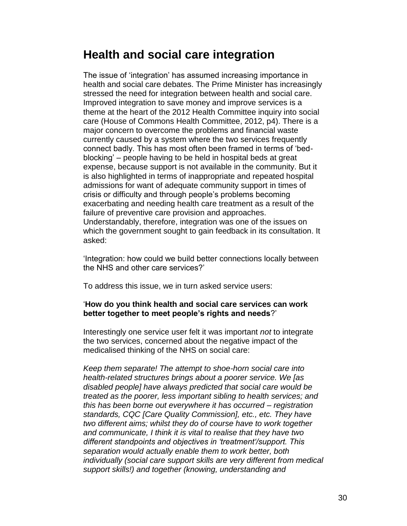## **Health and social care integration**

The issue of 'integration' has assumed increasing importance in health and social care debates. The Prime Minister has increasingly stressed the need for integration between health and social care. Improved integration to save money and improve services is a theme at the heart of the 2012 Health Committee inquiry into social care (House of Commons Health Committee, 2012, p4). There is a major concern to overcome the problems and financial waste currently caused by a system where the two services frequently connect badly. This has most often been framed in terms of 'bedblocking' – people having to be held in hospital beds at great expense, because support is not available in the community. But it is also highlighted in terms of inappropriate and repeated hospital admissions for want of adequate community support in times of crisis or difficulty and through people's problems becoming exacerbating and needing health care treatment as a result of the failure of preventive care provision and approaches. Understandably, therefore, integration was one of the issues on which the government sought to gain feedback in its consultation. It asked:

'Integration: how could we build better connections locally between the NHS and other care services?'

To address this issue, we in turn asked service users:

#### '**How do you think health and social care services can work better together to meet people's rights and needs**?'

Interestingly one service user felt it was important *not* to integrate the two services, concerned about the negative impact of the medicalised thinking of the NHS on social care:

*Keep them separate! The attempt to shoe-horn social care into health-related structures brings about a poorer service. We [as disabled people] have always predicted that social care would be treated as the poorer, less important sibling to health services; and this has been borne out everywhere it has occurred – registration standards, CQC [Care Quality Commission], etc., etc. They have two different aims; whilst they do of course have to work together and communicate, I think it is vital to realise that they have two different standpoints and objectives in 'treatment'/support. This separation would actually enable them to work better, both individually (social care support skills are very different from medical support skills!) and together (knowing, understanding and*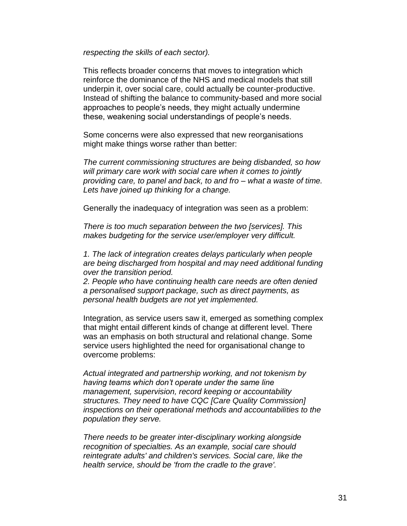*respecting the skills of each sector).*

This reflects broader concerns that moves to integration which reinforce the dominance of the NHS and medical models that still underpin it, over social care, could actually be counter-productive. Instead of shifting the balance to community-based and more social approaches to people's needs, they might actually undermine these, weakening social understandings of people's needs.

Some concerns were also expressed that new reorganisations might make things worse rather than better:

*The current commissioning structures are being disbanded, so how will primary care work with social care when it comes to jointly providing care, to panel and back, to and fro – what a waste of time. Lets have joined up thinking for a change.*

Generally the inadequacy of integration was seen as a problem:

*There is too much separation between the two [services]. This makes budgeting for the service user/employer very difficult.*

*1. The lack of integration creates delays particularly when people are being discharged from hospital and may need additional funding over the transition period.* 

*2. People who have continuing health care needs are often denied a personalised support package, such as direct payments, as personal health budgets are not yet implemented.*

Integration, as service users saw it, emerged as something complex that might entail different kinds of change at different level. There was an emphasis on both structural and relational change. Some service users highlighted the need for organisational change to overcome problems:

*Actual integrated and partnership working, and not tokenism by having teams which don't operate under the same line management, supervision, record keeping or accountability structures. They need to have CQC [Care Quality Commission] inspections on their operational methods and accountabilities to the population they serve.*

*There needs to be greater inter-disciplinary working alongside recognition of specialties. As an example, social care should reintegrate adults' and children's services. Social care, like the health service, should be 'from the cradle to the grave'.*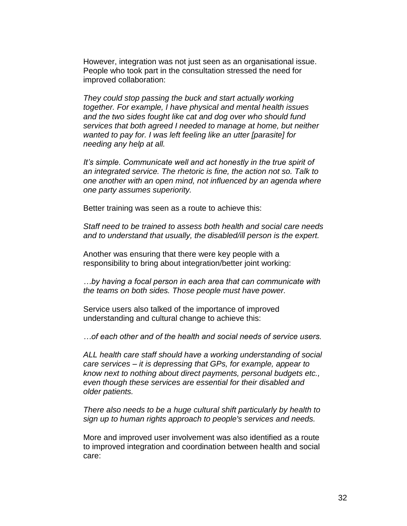However, integration was not just seen as an organisational issue. People who took part in the consultation stressed the need for improved collaboration:

*They could stop passing the buck and start actually working together. For example, I have physical and mental health issues and the two sides fought like cat and dog over who should fund services that both agreed I needed to manage at home, but neither wanted to pay for. I was left feeling like an utter [parasite] for needing any help at all.*

*It's simple. Communicate well and act honestly in the true spirit of an integrated service. The rhetoric is fine, the action not so. Talk to one another with an open mind, not influenced by an agenda where one party assumes superiority.*

Better training was seen as a route to achieve this:

*Staff need to be trained to assess both health and social care needs and to understand that usually, the disabled/ill person is the expert.*

Another was ensuring that there were key people with a responsibility to bring about integration/better joint working:

*…by having a focal person in each area that can communicate with the teams on both sides. Those people must have power.*

Service users also talked of the importance of improved understanding and cultural change to achieve this:

*…of each other and of the health and social needs of service users.*

*ALL health care staff should have a working understanding of social care services – it is depressing that GPs, for example, appear to know next to nothing about direct payments, personal budgets etc., even though these services are essential for their disabled and older patients.* 

*There also needs to be a huge cultural shift particularly by health to sign up to human rights approach to people's services and needs.*

More and improved user involvement was also identified as a route to improved integration and coordination between health and social care: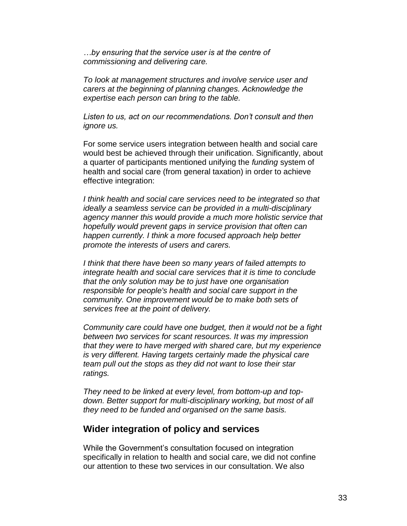*…by ensuring that the service user is at the centre of commissioning and delivering care.*

*To look at management structures and involve service user and carers at the beginning of planning changes. Acknowledge the expertise each person can bring to the table.*

*Listen to us, act on our recommendations. Don't consult and then ignore us.*

For some service users integration between health and social care would best be achieved through their unification. Significantly, about a quarter of participants mentioned unifying the *funding* system of health and social care (from general taxation) in order to achieve effective integration:

*I think health and social care services need to be integrated so that ideally a seamless service can be provided in a multi-disciplinary agency manner this would provide a much more holistic service that hopefully would prevent gaps in service provision that often can happen currently. I think a more focused approach help better promote the interests of users and carers.*

*I think that there have been so many years of failed attempts to integrate health and social care services that it is time to conclude that the only solution may be to just have one organisation responsible for people's health and social care support in the community. One improvement would be to make both sets of services free at the point of delivery.*

*Community care could have one budget, then it would not be a fight between two services for scant resources. It was my impression that they were to have merged with shared care, but my experience is very different. Having targets certainly made the physical care team pull out the stops as they did not want to lose their star ratings.*

*They need to be linked at every level, from bottom-up and topdown. Better support for multi-disciplinary working, but most of all they need to be funded and organised on the same basis.*

#### **Wider integration of policy and services**

While the Government's consultation focused on integration specifically in relation to health and social care, we did not confine our attention to these two services in our consultation. We also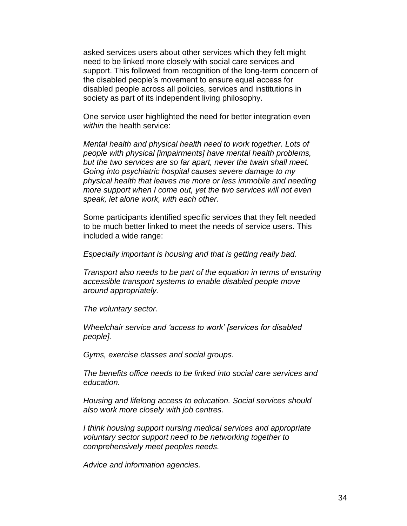asked services users about other services which they felt might need to be linked more closely with social care services and support. This followed from recognition of the long-term concern of the disabled people's movement to ensure equal access for disabled people across all policies, services and institutions in society as part of its independent living philosophy.

One service user highlighted the need for better integration even *within* the health service:

*Mental health and physical health need to work together. Lots of people with physical [impairments] have mental health problems, but the two services are so far apart, never the twain shall meet. Going into psychiatric hospital causes severe damage to my physical health that leaves me more or less immobile and needing more support when I come out, yet the two services will not even speak, let alone work, with each other.*

Some participants identified specific services that they felt needed to be much better linked to meet the needs of service users. This included a wide range:

*Especially important is housing and that is getting really bad.*

*Transport also needs to be part of the equation in terms of ensuring accessible transport systems to enable disabled people move around appropriately.*

*The voluntary sector.*

*Wheelchair service and 'access to work' [services for disabled people].*

*Gyms, exercise classes and social groups.*

*The benefits office needs to be linked into social care services and education.*

*Housing and lifelong access to education. Social services should also work more closely with job centres.*

*I think housing support nursing medical services and appropriate voluntary sector support need to be networking together to comprehensively meet peoples needs.*

*Advice and information agencies.*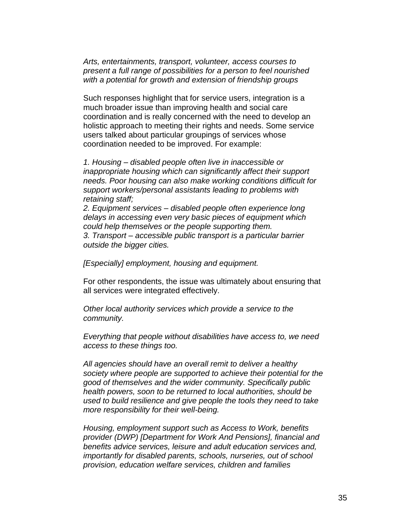*Arts, entertainments, transport, volunteer, access courses to present a full range of possibilities for a person to feel nourished with a potential for growth and extension of friendship groups*

Such responses highlight that for service users, integration is a much broader issue than improving health and social care coordination and is really concerned with the need to develop an holistic approach to meeting their rights and needs. Some service users talked about particular groupings of services whose coordination needed to be improved. For example:

*1. Housing – disabled people often live in inaccessible or inappropriate housing which can significantly affect their support needs. Poor housing can also make working conditions difficult for support workers/personal assistants leading to problems with retaining staff;*

*2. Equipment services – disabled people often experience long delays in accessing even very basic pieces of equipment which could help themselves or the people supporting them. 3. Transport – accessible public transport is a particular barrier outside the bigger cities.*

*[Especially] employment, housing and equipment.*

For other respondents, the issue was ultimately about ensuring that all services were integrated effectively.

*Other local authority services which provide a service to the community.*

*Everything that people without disabilities have access to, we need access to these things too.*

*All agencies should have an overall remit to deliver a healthy society where people are supported to achieve their potential for the good of themselves and the wider community. Specifically public health powers, soon to be returned to local authorities, should be used to build resilience and give people the tools they need to take more responsibility for their well-being.* 

*Housing, employment support such as Access to Work, benefits provider (DWP) [Department for Work And Pensions], financial and benefits advice services, leisure and adult education services and, importantly for disabled parents, schools, nurseries, out of school provision, education welfare services, children and families*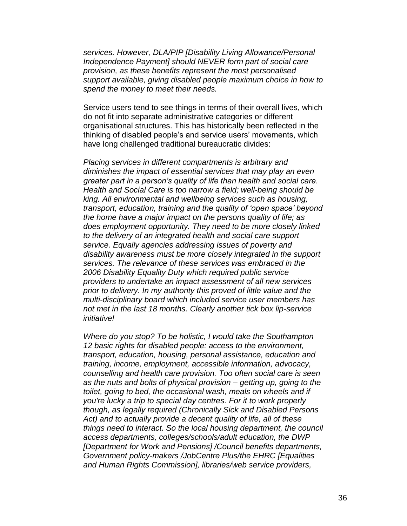*services. However, DLA/PIP [Disability Living Allowance/Personal Independence Payment] should NEVER form part of social care provision, as these benefits represent the most personalised support available, giving disabled people maximum choice in how to spend the money to meet their needs.*

Service users tend to see things in terms of their overall lives, which do not fit into separate administrative categories or different organisational structures. This has historically been reflected in the thinking of disabled people's and service users' movements, which have long challenged traditional bureaucratic divides:

*Placing services in different compartments is arbitrary and diminishes the impact of essential services that may play an even greater part in a person's quality of life than health and social care. Health and Social Care is too narrow a field; well-being should be king. All environmental and wellbeing services such as housing, transport, education, training and the quality of 'open space' beyond the home have a major impact on the persons quality of life; as does employment opportunity. They need to be more closely linked to the delivery of an integrated health and social care support service. Equally agencies addressing issues of poverty and disability awareness must be more closely integrated in the support services. The relevance of these services was embraced in the 2006 Disability Equality Duty which required public service providers to undertake an impact assessment of all new services prior to delivery. In my authority this proved of little value and the multi-disciplinary board which included service user members has not met in the last 18 months. Clearly another tick box lip-service initiative!* 

*Where do you stop? To be holistic, I would take the Southampton 12 basic rights for disabled people: access to the environment, transport, education, housing, personal assistance, education and training, income, employment, accessible information, advocacy, counselling and health care provision. Too often social care is seen as the nuts and bolts of physical provision – getting up, going to the toilet, going to bed, the occasional wash, meals on wheels and if you're lucky a trip to special day centres. For it to work properly though, as legally required (Chronically Sick and Disabled Persons Act) and to actually provide a decent quality of life, all of these things need to interact. So the local housing department, the council access departments, colleges/schools/adult education, the DWP [Department for Work and Pensions] /Council benefits departments, Government policy-makers /JobCentre Plus/the EHRC [Equalities and Human Rights Commission], libraries/web service providers,*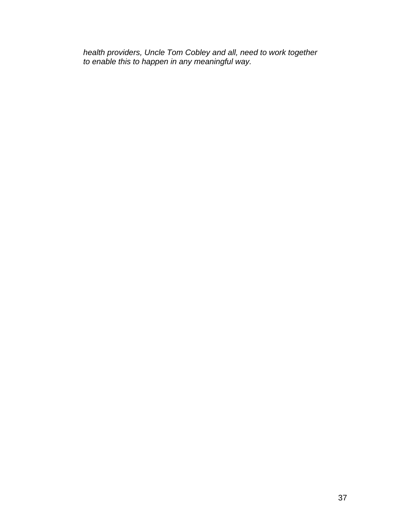*health providers, Uncle Tom Cobley and all, need to work together to enable this to happen in any meaningful way.*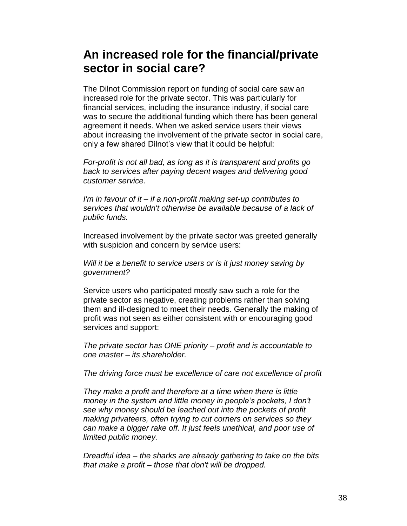# **An increased role for the financial/private sector in social care?**

The Dilnot Commission report on funding of social care saw an increased role for the private sector. This was particularly for financial services, including the insurance industry, if social care was to secure the additional funding which there has been general agreement it needs. When we asked service users their views about increasing the involvement of the private sector in social care, only a few shared Dilnot's view that it could be helpful:

*For-profit is not all bad, as long as it is transparent and profits go back to services after paying decent wages and delivering good customer service.* 

*I'm in favour of it – if a non-profit making set-up contributes to services that wouldn't otherwise be available because of a lack of public funds.*

Increased involvement by the private sector was greeted generally with suspicion and concern by service users:

*Will it be a benefit to service users or is it just money saving by government?*

Service users who participated mostly saw such a role for the private sector as negative, creating problems rather than solving them and ill-designed to meet their needs. Generally the making of profit was not seen as either consistent with or encouraging good services and support:

*The private sector has ONE priority – profit and is accountable to one master – its shareholder.*

*The driving force must be excellence of care not excellence of profit*

*They make a profit and therefore at a time when there is little money in the system and little money in people's pockets, I don't see why money should be leached out into the pockets of profit making privateers, often trying to cut corners on services so they can make a bigger rake off. It just feels unethical, and poor use of limited public money.*

*Dreadful idea – the sharks are already gathering to take on the bits that make a profit – those that don't will be dropped.*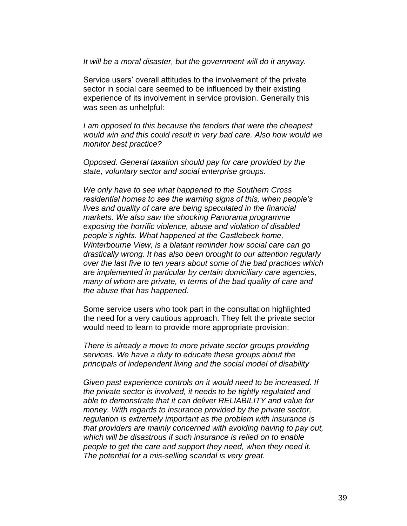*It will be a moral disaster, but the government will do it anyway.*

Service users' overall attitudes to the involvement of the private sector in social care seemed to be influenced by their existing experience of its involvement in service provision. Generally this was seen as unhelpful:

*I am opposed to this because the tenders that were the cheapest would win and this could result in very bad care. Also how would we monitor best practice?*

*Opposed. General taxation should pay for care provided by the state, voluntary sector and social enterprise groups.*

*We only have to see what happened to the Southern Cross residential homes to see the warning signs of this, when people's lives and quality of care are being speculated in the financial markets. We also saw the shocking Panorama programme exposing the horrific violence, abuse and violation of disabled people's rights. What happened at the Castlebeck home, Winterbourne View, is a blatant reminder how social care can go drastically wrong. It has also been brought to our attention regularly over the last five to ten years about some of the bad practices which are implemented in particular by certain domiciliary care agencies, many of whom are private, in terms of the bad quality of care and the abuse that has happened.*

Some service users who took part in the consultation highlighted the need for a very cautious approach. They felt the private sector would need to learn to provide more appropriate provision:

*There is already a move to more private sector groups providing services. We have a duty to educate these groups about the principals of independent living and the social model of disability*

*Given past experience controls on it would need to be increased. If the private sector is involved, it needs to be tightly regulated and able to demonstrate that it can deliver RELIABILITY and value for money. With regards to insurance provided by the private sector, regulation is extremely important as the problem with insurance is that providers are mainly concerned with avoiding having to pay out, which will be disastrous if such insurance is relied on to enable people to get the care and support they need, when they need it. The potential for a mis-selling scandal is very great.*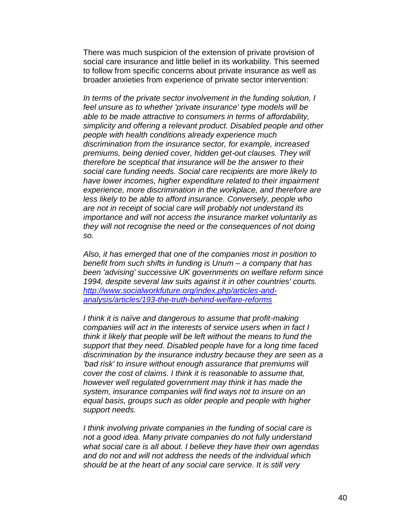There was much suspicion of the extension of private provision of social care insurance and little belief in its workability. This seemed to follow from specific concerns about private insurance as well as broader anxieties from experience of private sector intervention:

*In terms of the private sector involvement in the funding solution, I feel unsure as to whether 'private insurance' type models will be able to be made attractive to consumers in terms of affordability, simplicity and offering a relevant product. Disabled people and other people with health conditions already experience much discrimination from the insurance sector, for example, increased premiums, being denied cover, hidden get-out clauses. They will therefore be sceptical that insurance will be the answer to their social care funding needs. Social care recipients are more likely to have lower incomes, higher expenditure related to their impairment experience, more discrimination in the workplace, and therefore are less likely to be able to afford insurance. Conversely, people who are not in receipt of social care will probably not understand its importance and will not access the insurance market voluntarily as they will not recognise the need or the consequences of not doing so.* 

*Also, it has emerged that one of the companies most in position to benefit from such shifts in funding is Unum – a company that has been 'advising' successive UK governments on welfare reform since 1994, despite several law suits against it in other countries' courts. [http://www.socialworkfuture.org/index.php/articles-and](http://www.socialworkfuture.org/index.php/articles-and-analysis/articles/193-the-truth-behind-welfare-reforms)[analysis/articles/193-the-truth-behind-welfare-reforms](http://www.socialworkfuture.org/index.php/articles-and-analysis/articles/193-the-truth-behind-welfare-reforms)*

*I think it is naïve and dangerous to assume that profit-making companies will act in the interests of service users when in fact I think it likely that people will be left without the means to fund the support that they need. Disabled people have for a long time faced discrimination by the insurance industry because they are seen as a 'bad risk' to insure without enough assurance that premiums will cover the cost of claims. I think it is reasonable to assume that, however well regulated government may think it has made the system, insurance companies will find ways not to insure on an equal basis, groups such as older people and people with higher support needs.*

*I think involving private companies in the funding of social care is not a good idea. Many private companies do not fully understand what social care is all about. I believe they have their own agendas and do not and will not address the needs of the individual which should be at the heart of any social care service. It is still very*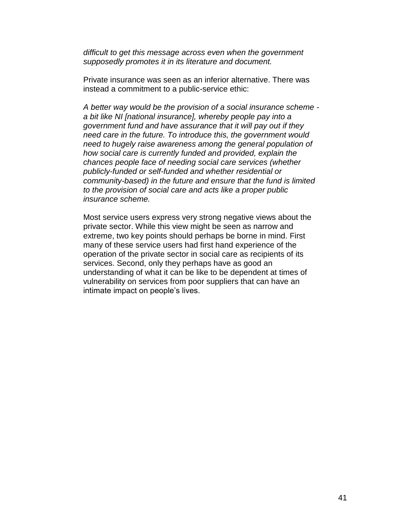*difficult to get this message across even when the government supposedly promotes it in its literature and document.*

Private insurance was seen as an inferior alternative. There was instead a commitment to a public-service ethic:

*A better way would be the provision of a social insurance scheme a bit like NI [national insurance], whereby people pay into a government fund and have assurance that it will pay out if they need care in the future. To introduce this, the government would need to hugely raise awareness among the general population of how social care is currently funded and provided, explain the chances people face of needing social care services (whether publicly-funded or self-funded and whether residential or community-based) in the future and ensure that the fund is limited to the provision of social care and acts like a proper public insurance scheme.*

Most service users express very strong negative views about the private sector. While this view might be seen as narrow and extreme, two key points should perhaps be borne in mind. First many of these service users had first hand experience of the operation of the private sector in social care as recipients of its services. Second, only they perhaps have as good an understanding of what it can be like to be dependent at times of vulnerability on services from poor suppliers that can have an intimate impact on people's lives.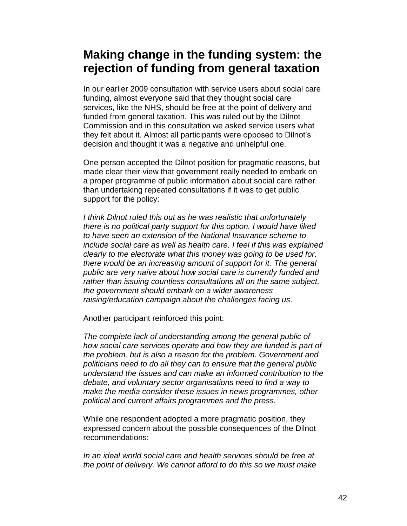# **Making change in the funding system: the rejection of funding from general taxation**

In our earlier 2009 consultation with service users about social care funding, almost everyone said that they thought social care services, like the NHS, should be free at the point of delivery and funded from general taxation. This was ruled out by the Dilnot Commission and in this consultation we asked service users what they felt about it. Almost all participants were opposed to Dilnot's decision and thought it was a negative and unhelpful one.

One person accepted the Dilnot position for pragmatic reasons, but made clear their view that government really needed to embark on a proper programme of public information about social care rather than undertaking repeated consultations if it was to get public support for the policy:

*I think Dilnot ruled this out as he was realistic that unfortunately there is no political party support for this option. I would have liked to have seen an extension of the National Insurance scheme to include social care as well as health care. I feel if this was explained clearly to the electorate what this money was going to be used for, there would be an increasing amount of support for it. The general public are very naïve about how social care is currently funded and rather than issuing countless consultations all on the same subject, the government should embark on a wider awareness raising/education campaign about the challenges facing us.*

Another participant reinforced this point:

*The complete lack of understanding among the general public of how social care services operate and how they are funded is part of the problem, but is also a reason for the problem. Government and politicians need to do all they can to ensure that the general public understand the issues and can make an informed contribution to the debate, and voluntary sector organisations need to find a way to make the media consider these issues in news programmes, other political and current affairs programmes and the press.*

While one respondent adopted a more pragmatic position, they expressed concern about the possible consequences of the Dilnot recommendations:

*In an ideal world social care and health services should be free at the point of delivery. We cannot afford to do this so we must make*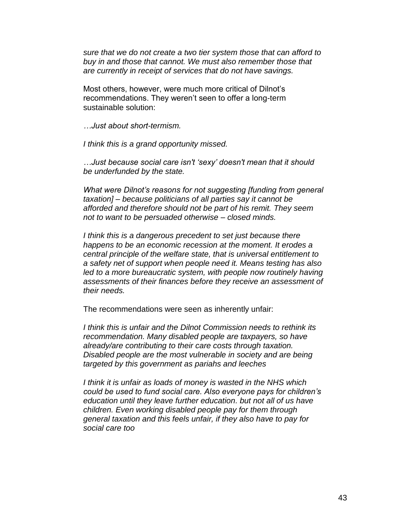*sure that we do not create a two tier system those that can afford to buy in and those that cannot. We must also remember those that are currently in receipt of services that do not have savings.*

Most others, however, were much more critical of Dilnot's recommendations. They weren't seen to offer a long-term sustainable solution:

*…Just about short-termism.*

*I think this is a grand opportunity missed.*

*…Just because social care isn't 'sexy' doesn't mean that it should be underfunded by the state.*

*What were Dilnot's reasons for not suggesting [funding from general taxation] – because politicians of all parties say it cannot be afforded and therefore should not be part of his remit. They seem not to want to be persuaded otherwise – closed minds.*

*I think this is a dangerous precedent to set just because there happens to be an economic recession at the moment. It erodes a central principle of the welfare state, that is universal entitlement to a safety net of support when people need it. Means testing has also*  led to a more bureaucratic system, with people now routinely having *assessments of their finances before they receive an assessment of their needs.*

The recommendations were seen as inherently unfair:

*I think this is unfair and the Dilnot Commission needs to rethink its recommendation. Many disabled people are taxpayers, so have already/are contributing to their care costs through taxation. Disabled people are the most vulnerable in society and are being targeted by this government as pariahs and leeches*

*I think it is unfair as loads of money is wasted in the NHS which could be used to fund social care. Also everyone pays for children's education until they leave further education. but not all of us have children. Even working disabled people pay for them through general taxation and this feels unfair, if they also have to pay for social care too*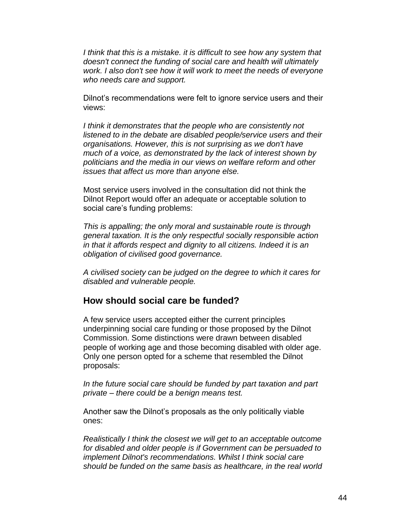*I think that this is a mistake. it is difficult to see how any system that doesn't connect the funding of social care and health will ultimately work. I also don't see how it will work to meet the needs of everyone who needs care and support.*

Dilnot's recommendations were felt to ignore service users and their views:

*I think it demonstrates that the people who are consistently not listened to in the debate are disabled people/service users and their organisations. However, this is not surprising as we don't have much of a voice, as demonstrated by the lack of interest shown by politicians and the media in our views on welfare reform and other issues that affect us more than anyone else.*

Most service users involved in the consultation did not think the Dilnot Report would offer an adequate or acceptable solution to social care's funding problems:

*This is appalling; the only moral and sustainable route is through general taxation. It is the only respectful socially responsible action in that it affords respect and dignity to all citizens. Indeed it is an obligation of civilised good governance.*

*A civilised society can be judged on the degree to which it cares for disabled and vulnerable people.*

#### **How should social care be funded?**

A few service users accepted either the current principles underpinning social care funding or those proposed by the Dilnot Commission. Some distinctions were drawn between disabled people of working age and those becoming disabled with older age. Only one person opted for a scheme that resembled the Dilnot proposals:

*In the future social care should be funded by part taxation and part private – there could be a benign means test.*

Another saw the Dilnot's proposals as the only politically viable ones:

*Realistically I think the closest we will get to an acceptable outcome for disabled and older people is if Government can be persuaded to implement Dilnot's recommendations. Whilst I think social care should be funded on the same basis as healthcare, in the real world*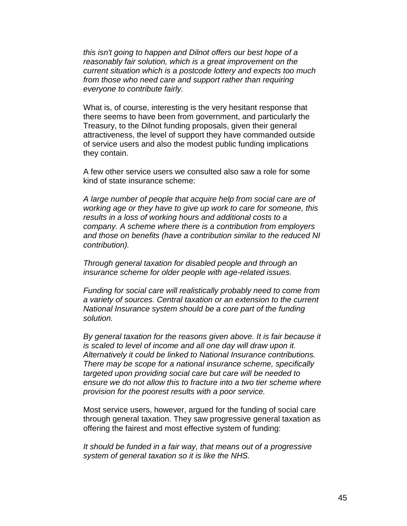*this isn't going to happen and Dilnot offers our best hope of a reasonably fair solution, which is a great improvement on the current situation which is a postcode lottery and expects too much from those who need care and support rather than requiring everyone to contribute fairly.*

What is, of course, interesting is the very hesitant response that there seems to have been from government, and particularly the Treasury, to the Dilnot funding proposals, given their general attractiveness, the level of support they have commanded outside of service users and also the modest public funding implications they contain.

A few other service users we consulted also saw a role for some kind of state insurance scheme:

*A large number of people that acquire help from social care are of working age or they have to give up work to care for someone, this results in a loss of working hours and additional costs to a company. A scheme where there is a contribution from employers and those on benefits (have a contribution similar to the reduced NI contribution).*

*Through general taxation for disabled people and through an insurance scheme for older people with age-related issues.*

*Funding for social care will realistically probably need to come from a variety of sources. Central taxation or an extension to the current National Insurance system should be a core part of the funding solution.*

*By general taxation for the reasons given above. It is fair because it is scaled to level of income and all one day will draw upon it. Alternatively it could be linked to National Insurance contributions. There may be scope for a national insurance scheme, specifically targeted upon providing social care but care will be needed to ensure we do not allow this to fracture into a two tier scheme where provision for the poorest results with a poor service.*

Most service users, however, argued for the funding of social care through general taxation. They saw progressive general taxation as offering the fairest and most effective system of funding:

*It should be funded in a fair way, that means out of a progressive system of general taxation so it is like the NHS.*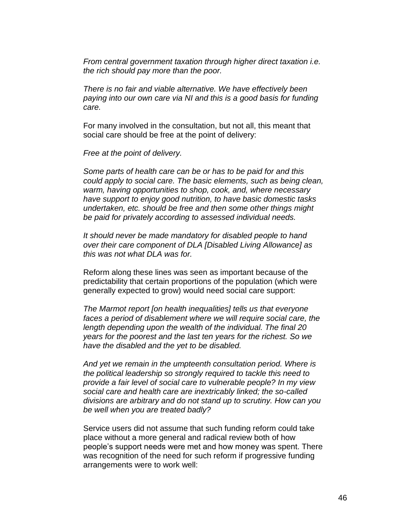*From central government taxation through higher direct taxation i.e. the rich should pay more than the poor.* 

*There is no fair and viable alternative. We have effectively been paying into our own care via NI and this is a good basis for funding care.*

For many involved in the consultation, but not all, this meant that social care should be free at the point of delivery:

*Free at the point of delivery.*

*Some parts of health care can be or has to be paid for and this could apply to social care. The basic elements, such as being clean, warm, having opportunities to shop, cook, and, where necessary have support to enjoy good nutrition, to have basic domestic tasks undertaken, etc. should be free and then some other things might be paid for privately according to assessed individual needs.*

*It should never be made mandatory for disabled people to hand over their care component of DLA [Disabled Living Allowance] as this was not what DLA was for.*

Reform along these lines was seen as important because of the predictability that certain proportions of the population (which were generally expected to grow) would need social care support:

*The Marmot report [on health inequalities] tells us that everyone faces a period of disablement where we will require social care, the length depending upon the wealth of the individual. The final 20 years for the poorest and the last ten years for the richest. So we have the disabled and the yet to be disabled.* 

*And yet we remain in the umpteenth consultation period. Where is the political leadership so strongly required to tackle this need to provide a fair level of social care to vulnerable people? In my view social care and health care are inextricably linked; the so-called divisions are arbitrary and do not stand up to scrutiny. How can you be well when you are treated badly?*

Service users did not assume that such funding reform could take place without a more general and radical review both of how people's support needs were met and how money was spent. There was recognition of the need for such reform if progressive funding arrangements were to work well: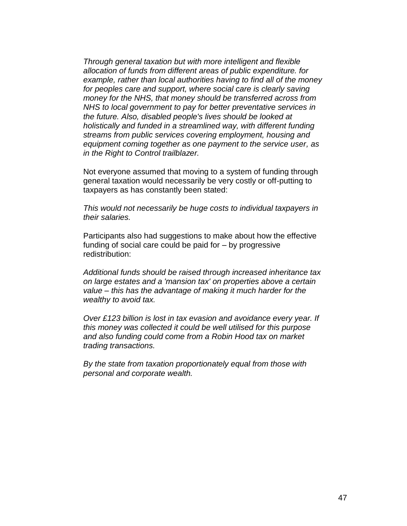*Through general taxation but with more intelligent and flexible allocation of funds from different areas of public expenditure. for example, rather than local authorities having to find all of the money*  for peoples care and support, where social care is clearly saving *money for the NHS, that money should be transferred across from NHS to local government to pay for better preventative services in the future. Also, disabled people's lives should be looked at holistically and funded in a streamlined way, with different funding streams from public services covering employment, housing and equipment coming together as one payment to the service user, as in the Right to Control trailblazer.*

Not everyone assumed that moving to a system of funding through general taxation would necessarily be very costly or off-putting to taxpayers as has constantly been stated:

*This would not necessarily be huge costs to individual taxpayers in their salaries.*

Participants also had suggestions to make about how the effective funding of social care could be paid for – by progressive redistribution:

*Additional funds should be raised through increased inheritance tax on large estates and a 'mansion tax' on properties above a certain value – this has the advantage of making it much harder for the wealthy to avoid tax.*

*Over £123 billion is lost in tax evasion and avoidance every year. If this money was collected it could be well utilised for this purpose and also funding could come from a Robin Hood tax on market trading transactions.*

*By the state from taxation proportionately equal from those with personal and corporate wealth.*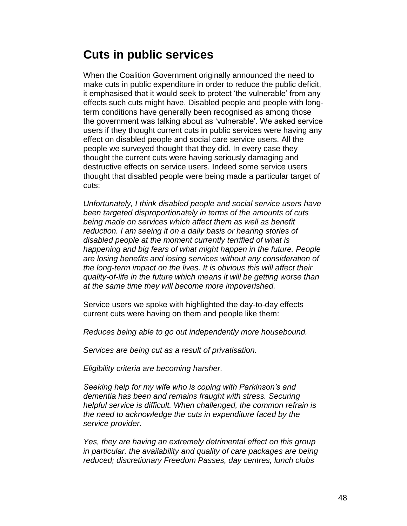# **Cuts in public services**

When the Coalition Government originally announced the need to make cuts in public expenditure in order to reduce the public deficit, it emphasised that it would seek to protect 'the vulnerable' from any effects such cuts might have. Disabled people and people with longterm conditions have generally been recognised as among those the government was talking about as 'vulnerable'. We asked service users if they thought current cuts in public services were having any effect on disabled people and social care service users. All the people we surveyed thought that they did. In every case they thought the current cuts were having seriously damaging and destructive effects on service users. Indeed some service users thought that disabled people were being made a particular target of cuts:

*Unfortunately, I think disabled people and social service users have been targeted disproportionately in terms of the amounts of cuts being made on services which affect them as well as benefit reduction. I am seeing it on a daily basis or hearing stories of disabled people at the moment currently terrified of what is happening and big fears of what might happen in the future. People are losing benefits and losing services without any consideration of the long-term impact on the lives. It is obvious this will affect their quality-of-life in the future which means it will be getting worse than at the same time they will become more impoverished.* 

Service users we spoke with highlighted the day-to-day effects current cuts were having on them and people like them:

*Reduces being able to go out independently more housebound.*

*Services are being cut as a result of privatisation.*

*Eligibility criteria are becoming harsher.*

*Seeking help for my wife who is coping with Parkinson's and dementia has been and remains fraught with stress. Securing helpful service is difficult. When challenged, the common refrain is the need to acknowledge the cuts in expenditure faced by the service provider.* 

*Yes, they are having an extremely detrimental effect on this group in particular. the availability and quality of care packages are being reduced; discretionary Freedom Passes, day centres, lunch clubs*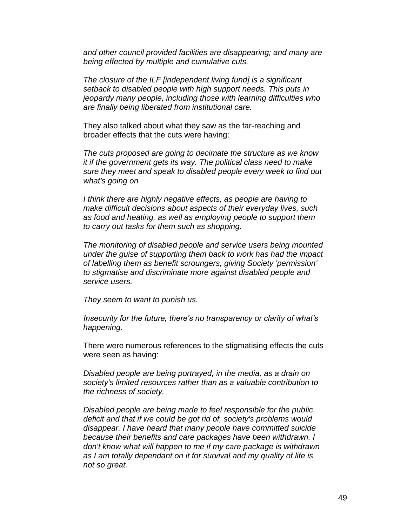*and other council provided facilities are disappearing; and many are being effected by multiple and cumulative cuts.*

*The closure of the ILF [independent living fund] is a significant setback to disabled people with high support needs. This puts in jeopardy many people, including those with learning difficulties who are finally being liberated from institutional care.* 

They also talked about what they saw as the far-reaching and broader effects that the cuts were having:

*The cuts proposed are going to decimate the structure as we know it if the government gets its way. The political class need to make sure they meet and speak to disabled people every week to find out what's going on*

*I think there are highly negative effects, as people are having to make difficult decisions about aspects of their everyday lives, such as food and heating, as well as employing people to support them to carry out tasks for them such as shopping.*

*The monitoring of disabled people and service users being mounted under the guise of supporting them back to work has had the impact of labelling them as benefit scroungers, giving Society 'permission' to stigmatise and discriminate more against disabled people and service users.*

*They seem to want to punish us.*

*Insecurity for the future, there's no transparency or clarity of what's happening.*

There were numerous references to the stigmatising effects the cuts were seen as having:

*Disabled people are being portrayed, in the media, as a drain on society's limited resources rather than as a valuable contribution to the richness of society.*

*Disabled people are being made to feel responsible for the public deficit and that if we could be got rid of, society's problems would disappear. I have heard that many people have committed suicide because their benefits and care packages have been withdrawn. I don't know what will happen to me if my care package is withdrawn as I am totally dependant on it for survival and my quality of life is not so great.*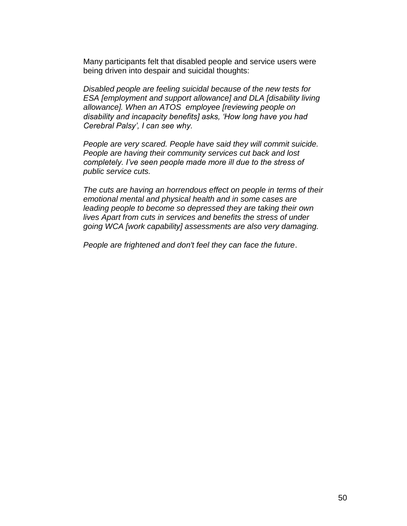Many participants felt that disabled people and service users were being driven into despair and suicidal thoughts:

*Disabled people are feeling suicidal because of the new tests for ESA [employment and support allowance] and DLA [disability living allowance]. When an ATOS employee [reviewing people on disability and incapacity benefits] asks, 'How long have you had Cerebral Palsy', I can see why.*

*People are very scared. People have said they will commit suicide. People are having their community services cut back and lost completely. I've seen people made more ill due to the stress of public service cuts.*

*The cuts are having an horrendous effect on people in terms of their emotional mental and physical health and in some cases are leading people to become so depressed they are taking their own lives Apart from cuts in services and benefits the stress of under going WCA [work capability] assessments are also very damaging.*

*People are frightened and don't feel they can face the future*.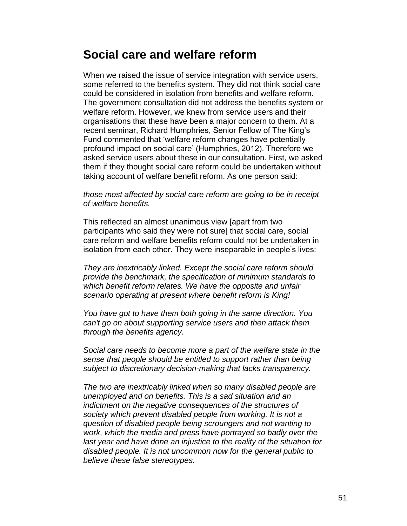## **Social care and welfare reform**

When we raised the issue of service integration with service users, some referred to the benefits system. They did not think social care could be considered in isolation from benefits and welfare reform. The government consultation did not address the benefits system or welfare reform. However, we knew from service users and their organisations that these have been a major concern to them. At a recent seminar, Richard Humphries, Senior Fellow of The King's Fund commented that 'welfare reform changes have potentially profound impact on social care' (Humphries, 2012). Therefore we asked service users about these in our consultation. First, we asked them if they thought social care reform could be undertaken without taking account of welfare benefit reform. As one person said:

*those most affected by social care reform are going to be in receipt of welfare benefits.*

This reflected an almost unanimous view [apart from two participants who said they were not sure] that social care, social care reform and welfare benefits reform could not be undertaken in isolation from each other. They were inseparable in people's lives:

*They are inextricably linked. Except the social care reform should provide the benchmark, the specification of minimum standards to which benefit reform relates. We have the opposite and unfair scenario operating at present where benefit reform is King!*

*You have got to have them both going in the same direction. You can't go on about supporting service users and then attack them through the benefits agency.*

*Social care needs to become more a part of the welfare state in the sense that people should be entitled to support rather than being subject to discretionary decision-making that lacks transparency.*

*The two are inextricably linked when so many disabled people are unemployed and on benefits. This is a sad situation and an indictment on the negative consequences of the structures of society which prevent disabled people from working. It is not a question of disabled people being scroungers and not wanting to work, which the media and press have portrayed so badly over the last year and have done an injustice to the reality of the situation for disabled people. It is not uncommon now for the general public to believe these false stereotypes.*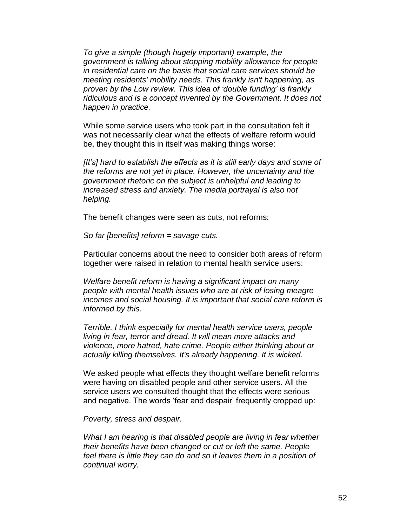*To give a simple (though hugely important) example, the government is talking about stopping mobility allowance for people in residential care on the basis that social care services should be meeting residents' mobility needs. This frankly isn't happening, as proven by the Low review. This idea of 'double funding' is frankly ridiculous and is a concept invented by the Government. It does not happen in practice.* 

While some service users who took part in the consultation felt it was not necessarily clear what the effects of welfare reform would be, they thought this in itself was making things worse:

*[It's] hard to establish the effects as it is still early days and some of the reforms are not yet in place. However, the uncertainty and the government rhetoric on the subject is unhelpful and leading to increased stress and anxiety. The media portrayal is also not helping.*

The benefit changes were seen as cuts, not reforms:

*So far [benefits] reform = savage cuts.*

Particular concerns about the need to consider both areas of reform together were raised in relation to mental health service users:

*Welfare benefit reform is having a significant impact on many people with mental health issues who are at risk of losing meagre incomes and social housing. It is important that social care reform is informed by this.*

*Terrible. I think especially for mental health service users, people living in fear, terror and dread. It will mean more attacks and violence, more hatred, hate crime. People either thinking about or actually killing themselves. It's already happening. It is wicked.*

We asked people what effects they thought welfare benefit reforms were having on disabled people and other service users. All the service users we consulted thought that the effects were serious and negative. The words 'fear and despair' frequently cropped up:

*Poverty, stress and despair.*

*What I am hearing is that disabled people are living in fear whether their benefits have been changed or cut or left the same. People*  feel there is little they can do and so it leaves them in a position of *continual worry.*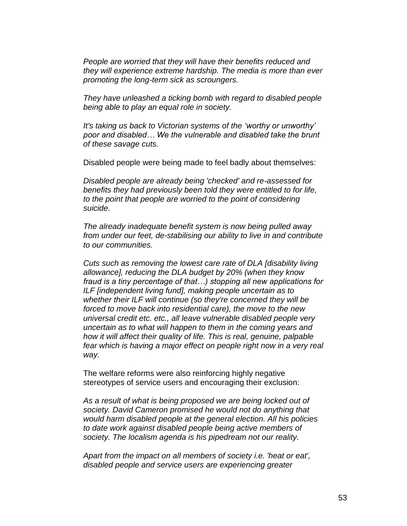*People are worried that they will have their benefits reduced and they will experience extreme hardship. The media is more than ever promoting the long-term sick as scroungers.*

*They have unleashed a ticking bomb with regard to disabled people being able to play an equal role in society.*

*It's taking us back to Victorian systems of the 'worthy or unworthy' poor and disabled… We the vulnerable and disabled take the brunt of these savage cuts.*

Disabled people were being made to feel badly about themselves:

*Disabled people are already being 'checked' and re-assessed for benefits they had previously been told they were entitled to for life, to the point that people are worried to the point of considering suicide.*

*The already inadequate benefit system is now being pulled away from under our feet, de-stabilising our ability to live in and contribute to our communities.*

*Cuts such as removing the lowest care rate of DLA [disability living allowance], reducing the DLA budget by 20% (when they know fraud is a tiny percentage of that…) stopping all new applications for ILF [independent living fund], making people uncertain as to whether their ILF will continue (so they're concerned they will be forced to move back into residential care), the move to the new universal credit etc. etc., all leave vulnerable disabled people very uncertain as to what will happen to them in the coming years and how it will affect their quality of life. This is real, genuine, palpable*  fear which is having a major effect on people right now in a very real *way.*

The welfare reforms were also reinforcing highly negative stereotypes of service users and encouraging their exclusion:

*As a result of what is being proposed we are being locked out of society. David Cameron promised he would not do anything that would harm disabled people at the general election. All his policies to date work against disabled people being active members of society. The localism agenda is his pipedream not our reality.*

*Apart from the impact on all members of society i.e. 'heat or eat', disabled people and service users are experiencing greater*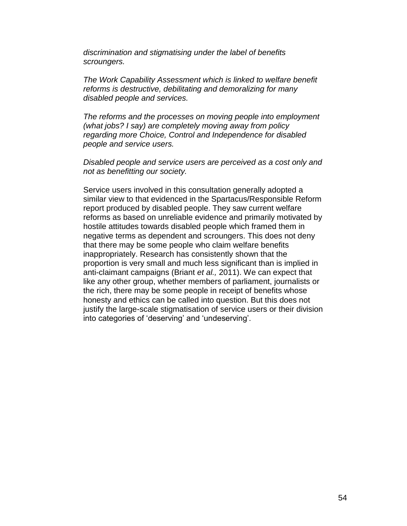*discrimination and stigmatising under the label of benefits scroungers.*

*The Work Capability Assessment which is linked to welfare benefit reforms is destructive, debilitating and demoralizing for many disabled people and services.* 

*The reforms and the processes on moving people into employment (what jobs? I say) are completely moving away from policy regarding more Choice, Control and Independence for disabled people and service users.*

*Disabled people and service users are perceived as a cost only and not as benefitting our society.*

Service users involved in this consultation generally adopted a similar view to that evidenced in the Spartacus/Responsible Reform report produced by disabled people. They saw current welfare reforms as based on unreliable evidence and primarily motivated by hostile attitudes towards disabled people which framed them in negative terms as dependent and scroungers. This does not deny that there may be some people who claim welfare benefits inappropriately. Research has consistently shown that the proportion is very small and much less significant than is implied in anti-claimant campaigns (Briant *et al.,* 2011). We can expect that like any other group, whether members of parliament, journalists or the rich, there may be some people in receipt of benefits whose honesty and ethics can be called into question. But this does not justify the large-scale stigmatisation of service users or their division into categories of 'deserving' and 'undeserving'.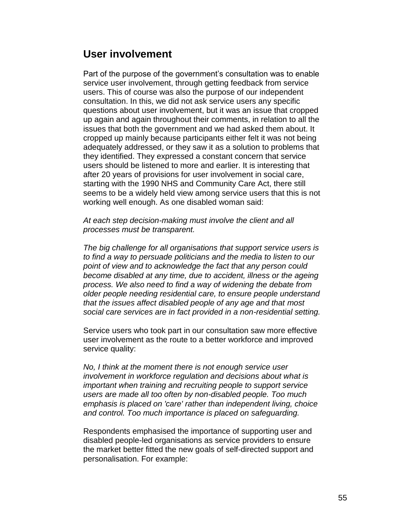### **User involvement**

Part of the purpose of the government's consultation was to enable service user involvement, through getting feedback from service users. This of course was also the purpose of our independent consultation. In this, we did not ask service users any specific questions about user involvement, but it was an issue that cropped up again and again throughout their comments, in relation to all the issues that both the government and we had asked them about. It cropped up mainly because participants either felt it was not being adequately addressed, or they saw it as a solution to problems that they identified. They expressed a constant concern that service users should be listened to more and earlier. It is interesting that after 20 years of provisions for user involvement in social care, starting with the 1990 NHS and Community Care Act, there still seems to be a widely held view among service users that this is not working well enough. As one disabled woman said:

*At each step decision-making must involve the client and all processes must be transparent.*

*The big challenge for all organisations that support service users is to find a way to persuade politicians and the media to listen to our point of view and to acknowledge the fact that any person could become disabled at any time, due to accident, illness or the ageing process. We also need to find a way of widening the debate from older people needing residential care, to ensure people understand that the issues affect disabled people of any age and that most social care services are in fact provided in a non-residential setting.*

Service users who took part in our consultation saw more effective user involvement as the route to a better workforce and improved service quality:

*No, I think at the moment there is not enough service user involvement in workforce regulation and decisions about what is important when training and recruiting people to support service users are made all too often by non-disabled people. Too much emphasis is placed on 'care' rather than independent living, choice and control. Too much importance is placed on safeguarding.*

Respondents emphasised the importance of supporting user and disabled people-led organisations as service providers to ensure the market better fitted the new goals of self-directed support and personalisation. For example: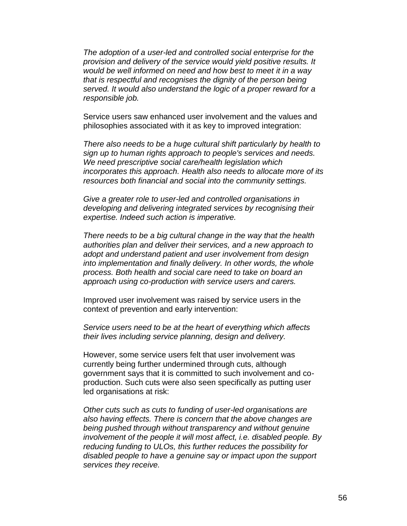*The adoption of a user-led and controlled social enterprise for the provision and delivery of the service would yield positive results. It would be well informed on need and how best to meet it in a way that is respectful and recognises the dignity of the person being served. It would also understand the logic of a proper reward for a responsible job.*

Service users saw enhanced user involvement and the values and philosophies associated with it as key to improved integration:

*There also needs to be a huge cultural shift particularly by health to sign up to human rights approach to people's services and needs. We need prescriptive social care/health legislation which incorporates this approach. Health also needs to allocate more of its resources both financial and social into the community settings.*

*Give a greater role to user-led and controlled organisations in developing and delivering integrated services by recognising their expertise. Indeed such action is imperative.*

*There needs to be a big cultural change in the way that the health authorities plan and deliver their services, and a new approach to adopt and understand patient and user involvement from design into implementation and finally delivery. In other words, the whole process. Both health and social care need to take on board an approach using co-production with service users and carers.*

Improved user involvement was raised by service users in the context of prevention and early intervention:

*Service users need to be at the heart of everything which affects their lives including service planning, design and delivery.*

However, some service users felt that user involvement was currently being further undermined through cuts, although government says that it is committed to such involvement and coproduction. Such cuts were also seen specifically as putting user led organisations at risk:

*Other cuts such as cuts to funding of user-led organisations are also having effects. There is concern that the above changes are being pushed through without transparency and without genuine involvement of the people it will most affect, i.e. disabled people. By reducing funding to ULOs, this further reduces the possibility for disabled people to have a genuine say or impact upon the support services they receive.*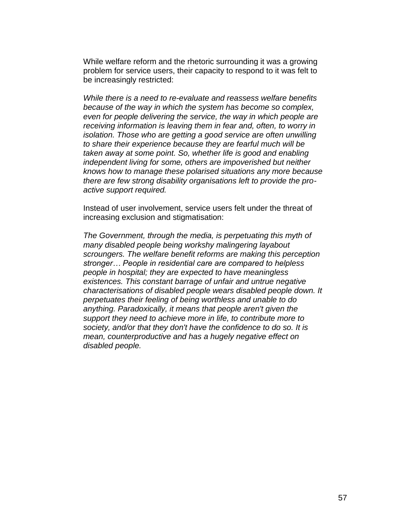While welfare reform and the rhetoric surrounding it was a growing problem for service users, their capacity to respond to it was felt to be increasingly restricted:

*While there is a need to re-evaluate and reassess welfare benefits because of the way in which the system has become so complex,*  even for people delivering the service, the way in which people are *receiving information is leaving them in fear and, often, to worry in isolation. Those who are getting a good service are often unwilling to share their experience because they are fearful much will be taken away at some point. So, whether life is good and enabling independent living for some, others are impoverished but neither knows how to manage these polarised situations any more because there are few strong disability organisations left to provide the proactive support required.*

Instead of user involvement, service users felt under the threat of increasing exclusion and stigmatisation:

*The Government, through the media, is perpetuating this myth of many disabled people being workshy malingering layabout scroungers. The welfare benefit reforms are making this perception stronger… People in residential care are compared to helpless people in hospital; they are expected to have meaningless existences. This constant barrage of unfair and untrue negative characterisations of disabled people wears disabled people down. It perpetuates their feeling of being worthless and unable to do anything. Paradoxically, it means that people aren't given the support they need to achieve more in life, to contribute more to society, and/or that they don't have the confidence to do so. It is mean, counterproductive and has a hugely negative effect on disabled people.*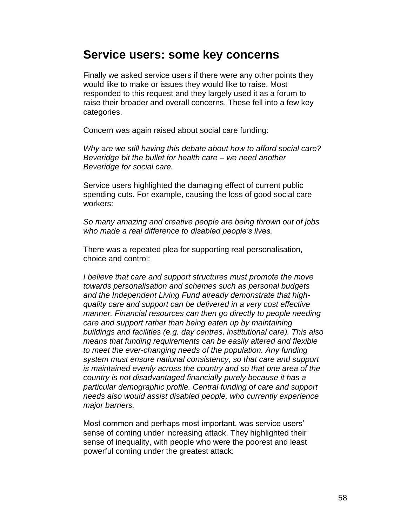## **Service users: some key concerns**

Finally we asked service users if there were any other points they would like to make or issues they would like to raise. Most responded to this request and they largely used it as a forum to raise their broader and overall concerns. These fell into a few key categories.

Concern was again raised about social care funding:

*Why are we still having this debate about how to afford social care? Beveridge bit the bullet for health care – we need another Beveridge for social care.*

Service users highlighted the damaging effect of current public spending cuts. For example, causing the loss of good social care workers:

*So many amazing and creative people are being thrown out of jobs who made a real difference to disabled people's lives.* 

There was a repeated plea for supporting real personalisation, choice and control:

*I believe that care and support structures must promote the move towards personalisation and schemes such as personal budgets and the Independent Living Fund already demonstrate that highquality care and support can be delivered in a very cost effective manner. Financial resources can then go directly to people needing care and support rather than being eaten up by maintaining buildings and facilities (e.g. day centres, institutional care). This also means that funding requirements can be easily altered and flexible to meet the ever-changing needs of the population. Any funding system must ensure national consistency, so that care and support is maintained evenly across the country and so that one area of the country is not disadvantaged financially purely because it has a particular demographic profile. Central funding of care and support needs also would assist disabled people, who currently experience major barriers.*

Most common and perhaps most important, was service users' sense of coming under increasing attack. They highlighted their sense of inequality, with people who were the poorest and least powerful coming under the greatest attack: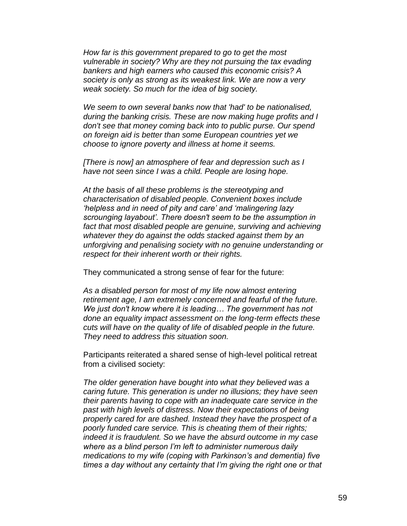*How far is this government prepared to go to get the most vulnerable in society? Why are they not pursuing the tax evading bankers and high earners who caused this economic crisis? A society is only as strong as its weakest link. We are now a very weak society. So much for the idea of big society.*

*We seem to own several banks now that 'had' to be nationalised, during the banking crisis. These are now making huge profits and I don't see that money coming back into to public purse. Our spend on foreign aid is better than some European countries yet we choose to ignore poverty and illness at home it seems.*

*[There is now] an atmosphere of fear and depression such as I have not seen since I was a child. People are losing hope.*

*At the basis of all these problems is the stereotyping and characterisation of disabled people. Convenient boxes include 'helpless and in need of pity and care' and 'malingering lazy scrounging layabout'. There doesn't seem to be the assumption in*  fact that most disabled people are genuine, surviving and achieving *whatever they do against the odds stacked against them by an unforgiving and penalising society with no genuine understanding or respect for their inherent worth or their rights.*

They communicated a strong sense of fear for the future:

*As a disabled person for most of my life now almost entering retirement age, I am extremely concerned and fearful of the future. We just don't know where it is leading… The government has not done an equality impact assessment on the long-term effects these cuts will have on the quality of life of disabled people in the future. They need to address this situation soon.*

Participants reiterated a shared sense of high-level political retreat from a civilised society:

*The older generation have bought into what they believed was a caring future. This generation is under no illusions; they have seen their parents having to cope with an inadequate care service in the past with high levels of distress. Now their expectations of being properly cared for are dashed. Instead they have the prospect of a poorly funded care service. This is cheating them of their rights; indeed it is fraudulent. So we have the absurd outcome in my case where as a blind person I'm left to administer numerous daily medications to my wife (coping with Parkinson's and dementia) five times a day without any certainty that I'm giving the right one or that*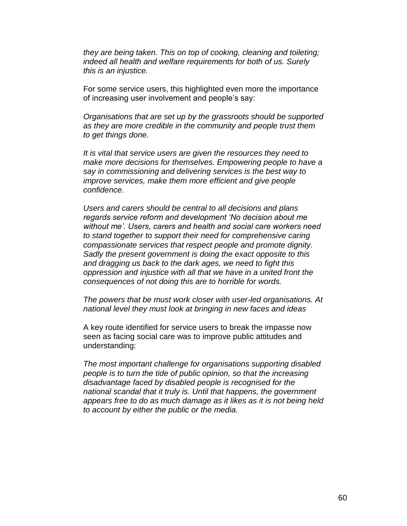*they are being taken. This on top of cooking, cleaning and toileting; indeed all health and welfare requirements for both of us. Surely this is an injustice.*

For some service users, this highlighted even more the importance of increasing user involvement and people's say:

*Organisations that are set up by the grassroots should be supported as they are more credible in the community and people trust them to get things done.* 

*It is vital that service users are given the resources they need to make more decisions for themselves. Empowering people to have a say in commissioning and delivering services is the best way to improve services, make them more efficient and give people confidence.*

*Users and carers should be central to all decisions and plans regards service reform and development 'No decision about me without me'. Users, carers and health and social care workers need to stand together to support their need for comprehensive caring compassionate services that respect people and promote dignity. Sadly the present government is doing the exact opposite to this and dragging us back to the dark ages, we need to fight this oppression and injustice with all that we have in a united front the consequences of not doing this are to horrible for words.*

*The powers that be must work closer with user-led organisations. At national level they must look at bringing in new faces and ideas*

A key route identified for service users to break the impasse now seen as facing social care was to improve public attitudes and understanding:

*The most important challenge for organisations supporting disabled people is to turn the tide of public opinion, so that the increasing disadvantage faced by disabled people is recognised for the national scandal that it truly is. Until that happens, the government appears free to do as much damage as it likes as it is not being held to account by either the public or the media.*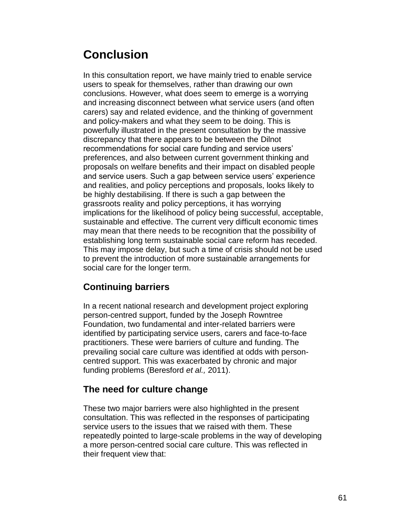# **Conclusion**

In this consultation report, we have mainly tried to enable service users to speak for themselves, rather than drawing our own conclusions. However, what does seem to emerge is a worrying and increasing disconnect between what service users (and often carers) say and related evidence, and the thinking of government and policy-makers and what they seem to be doing. This is powerfully illustrated in the present consultation by the massive discrepancy that there appears to be between the Dilnot recommendations for social care funding and service users' preferences, and also between current government thinking and proposals on welfare benefits and their impact on disabled people and service users. Such a gap between service users' experience and realities, and policy perceptions and proposals, looks likely to be highly destabilising. If there is such a gap between the grassroots reality and policy perceptions, it has worrying implications for the likelihood of policy being successful, acceptable, sustainable and effective. The current very difficult economic times may mean that there needs to be recognition that the possibility of establishing long term sustainable social care reform has receded. This may impose delay, but such a time of crisis should not be used to prevent the introduction of more sustainable arrangements for social care for the longer term.

## **Continuing barriers**

In a recent national research and development project exploring person-centred support, funded by the Joseph Rowntree Foundation, two fundamental and inter-related barriers were identified by participating service users, carers and face-to-face practitioners. These were barriers of culture and funding. The prevailing social care culture was identified at odds with personcentred support. This was exacerbated by chronic and major funding problems (Beresford *et al.,* 2011).

### **The need for culture change**

These two major barriers were also highlighted in the present consultation. This was reflected in the responses of participating service users to the issues that we raised with them. These repeatedly pointed to large-scale problems in the way of developing a more person-centred social care culture. This was reflected in their frequent view that: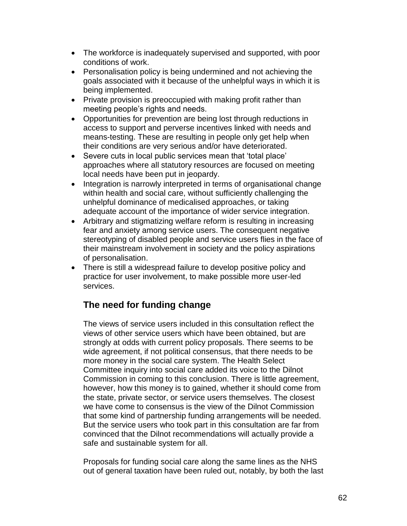- The workforce is inadequately supervised and supported, with poor conditions of work.
- Personalisation policy is being undermined and not achieving the goals associated with it because of the unhelpful ways in which it is being implemented.
- Private provision is preoccupied with making profit rather than meeting people's rights and needs.
- Opportunities for prevention are being lost through reductions in access to support and perverse incentives linked with needs and means-testing. These are resulting in people only get help when their conditions are very serious and/or have deteriorated.
- Severe cuts in local public services mean that 'total place' approaches where all statutory resources are focused on meeting local needs have been put in jeopardy.
- Integration is narrowly interpreted in terms of organisational change within health and social care, without sufficiently challenging the unhelpful dominance of medicalised approaches, or taking adequate account of the importance of wider service integration.
- Arbitrary and stigmatizing welfare reform is resulting in increasing fear and anxiety among service users. The consequent negative stereotyping of disabled people and service users flies in the face of their mainstream involvement in society and the policy aspirations of personalisation.
- There is still a widespread failure to develop positive policy and practice for user involvement, to make possible more user-led services.

### **The need for funding change**

The views of service users included in this consultation reflect the views of other service users which have been obtained, but are strongly at odds with current policy proposals. There seems to be wide agreement, if not political consensus, that there needs to be more money in the social care system. The Health Select Committee inquiry into social care added its voice to the Dilnot Commission in coming to this conclusion. There is little agreement, however, how this money is to gained, whether it should come from the state, private sector, or service users themselves. The closest we have come to consensus is the view of the Dilnot Commission that some kind of partnership funding arrangements will be needed. But the service users who took part in this consultation are far from convinced that the Dilnot recommendations will actually provide a safe and sustainable system for all.

Proposals for funding social care along the same lines as the NHS out of general taxation have been ruled out, notably, by both the last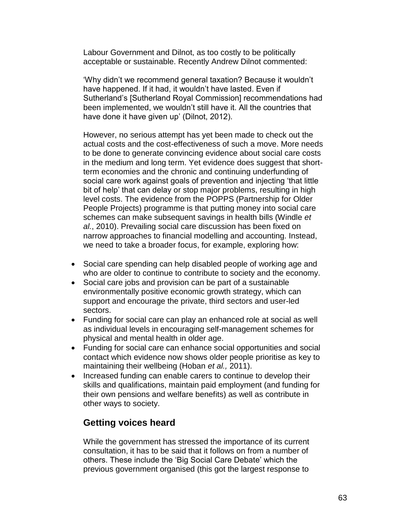Labour Government and Dilnot, as too costly to be politically acceptable or sustainable. Recently Andrew Dilnot commented:

'Why didn't we recommend general taxation? Because it wouldn't have happened. If it had, it wouldn't have lasted. Even if Sutherland's [Sutherland Royal Commission] recommendations had been implemented, we wouldn't still have it. All the countries that have done it have given up' (Dilnot, 2012).

However, no serious attempt has yet been made to check out the actual costs and the cost-effectiveness of such a move. More needs to be done to generate convincing evidence about social care costs in the medium and long term. Yet evidence does suggest that shortterm economies and the chronic and continuing underfunding of social care work against goals of prevention and injecting 'that little bit of help' that can delay or stop major problems, resulting in high level costs. The evidence from the POPPS (Partnership for Older People Projects) programme is that putting money into social care schemes can make subsequent savings in health bills (Windle *et al.*, 2010). Prevailing social care discussion has been fixed on narrow approaches to financial modelling and accounting. Instead, we need to take a broader focus, for example, exploring how:

- Social care spending can help disabled people of working age and who are older to continue to contribute to society and the economy.
- Social care jobs and provision can be part of a sustainable environmentally positive economic growth strategy, which can support and encourage the private, third sectors and user-led sectors.
- Funding for social care can play an enhanced role at social as well as individual levels in encouraging self-management schemes for physical and mental health in older age.
- Funding for social care can enhance social opportunities and social contact which evidence now shows older people prioritise as key to maintaining their wellbeing (Hoban *et al.,* 2011).
- Increased funding can enable carers to continue to develop their skills and qualifications, maintain paid employment (and funding for their own pensions and welfare benefits) as well as contribute in other ways to society.

#### **Getting voices heard**

While the government has stressed the importance of its current consultation, it has to be said that it follows on from a number of others. These include the 'Big Social Care Debate' which the previous government organised (this got the largest response to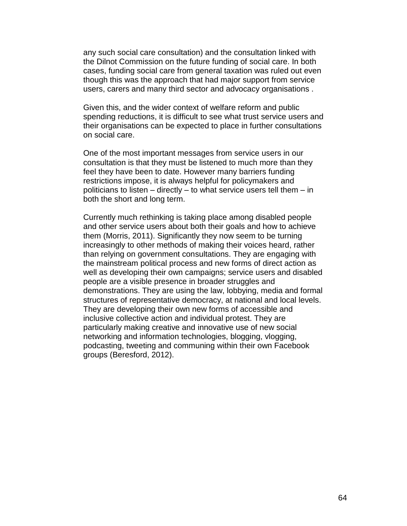any such social care consultation) and the consultation linked with the Dilnot Commission on the future funding of social care. In both cases, funding social care from general taxation was ruled out even though this was the approach that had major support from service users, carers and many third sector and advocacy organisations .

Given this, and the wider context of welfare reform and public spending reductions, it is difficult to see what trust service users and their organisations can be expected to place in further consultations on social care.

One of the most important messages from service users in our consultation is that they must be listened to much more than they feel they have been to date. However many barriers funding restrictions impose, it is always helpful for policymakers and politicians to listen – directly – to what service users tell them – in both the short and long term.

Currently much rethinking is taking place among disabled people and other service users about both their goals and how to achieve them (Morris, 2011). Significantly they now seem to be turning increasingly to other methods of making their voices heard, rather than relying on government consultations. They are engaging with the mainstream political process and new forms of direct action as well as developing their own campaigns; service users and disabled people are a visible presence in broader struggles and demonstrations. They are using the law, lobbying, media and formal structures of representative democracy, at national and local levels. They are developing their own new forms of accessible and inclusive collective action and individual protest. They are particularly making creative and innovative use of new social networking and information technologies, blogging, vlogging, podcasting, tweeting and communing within their own Facebook groups (Beresford, 2012).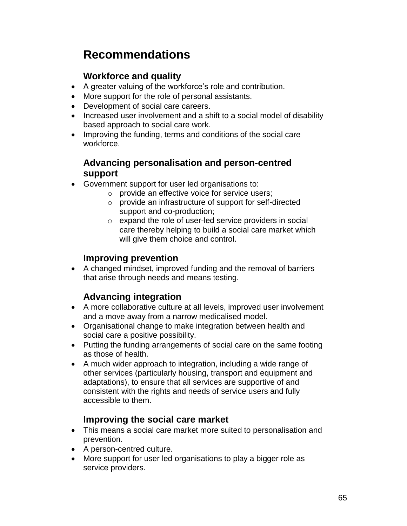# **Recommendations**

### **Workforce and quality**

- A greater valuing of the workforce's role and contribution.
- More support for the role of personal assistants.
- Development of social care careers.
- Increased user involvement and a shift to a social model of disability based approach to social care work.
- Improving the funding, terms and conditions of the social care workforce.

#### **Advancing personalisation and person-centred support**

- Government support for user led organisations to:
	- o provide an effective voice for service users;
		- o provide an infrastructure of support for self-directed support and co-production;
		- o expand the role of user-led service providers in social care thereby helping to build a social care market which will give them choice and control.

### **Improving prevention**

 A changed mindset, improved funding and the removal of barriers that arise through needs and means testing.

## **Advancing integration**

- A more collaborative culture at all levels, improved user involvement and a move away from a narrow medicalised model.
- Organisational change to make integration between health and social care a positive possibility.
- Putting the funding arrangements of social care on the same footing as those of health.
- A much wider approach to integration, including a wide range of other services (particularly housing, transport and equipment and adaptations), to ensure that all services are supportive of and consistent with the rights and needs of service users and fully accessible to them.

## **Improving the social care market**

- This means a social care market more suited to personalisation and prevention.
- A person-centred culture.
- More support for user led organisations to play a bigger role as service providers.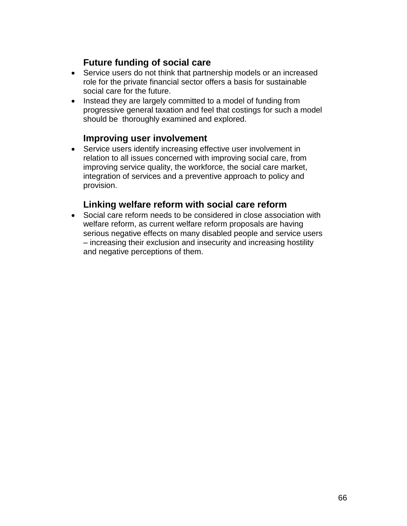### **Future funding of social care**

- Service users do not think that partnership models or an increased role for the private financial sector offers a basis for sustainable social care for the future.
- Instead they are largely committed to a model of funding from progressive general taxation and feel that costings for such a model should be thoroughly examined and explored.

#### **Improving user involvement**

 Service users identify increasing effective user involvement in relation to all issues concerned with improving social care, from improving service quality, the workforce, the social care market, integration of services and a preventive approach to policy and provision.

#### **Linking welfare reform with social care reform**

 Social care reform needs to be considered in close association with welfare reform, as current welfare reform proposals are having serious negative effects on many disabled people and service users – increasing their exclusion and insecurity and increasing hostility and negative perceptions of them.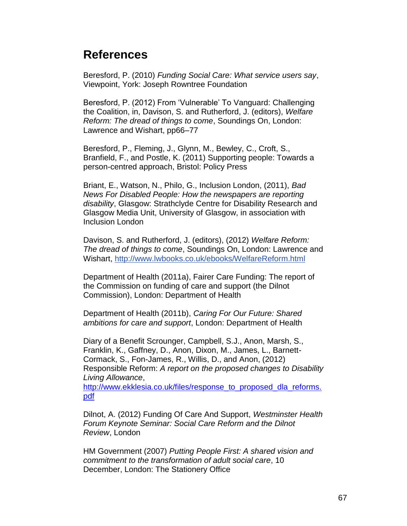# **References**

Beresford, P. (2010) *Funding Social Care: What service users say*, Viewpoint, York: Joseph Rowntree Foundation

Beresford, P. (2012) From 'Vulnerable' To Vanguard: Challenging the Coalition, in, Davison, S. and Rutherford, J. (editors), *Welfare Reform: The dread of things to come*, Soundings On, London: Lawrence and Wishart, pp66–77

Beresford, P., Fleming, J., Glynn, M., Bewley, C., Croft, S., Branfield, F., and Postle, K. (2011) Supporting people: Towards a person-centred approach, Bristol: Policy Press

Briant, E., Watson, N., Philo, G., Inclusion London, (2011), *Bad News For Disabled People: How the newspapers are reporting disability*, Glasgow: Strathclyde Centre for Disability Research and Glasgow Media Unit, University of Glasgow, in association with Inclusion London

Davison, S. and Rutherford, J. (editors), (2012) *Welfare Reform: The dread of things to come*, Soundings On, London: Lawrence and Wishart, http://www.lwbooks.co.uk/ebooks/WelfareReform.html

Department of Health (2011a), Fairer Care Funding: The report of the Commission on funding of care and support (the Dilnot Commission), London: Department of Health

Department of Health (2011b), *Caring For Our Future: Shared ambitions for care and support*, London: Department of Health

Diary of a Benefit Scrounger, Campbell, S.J., Anon, Marsh, S., Franklin, K., Gaffney, D., Anon, Dixon, M., James, L., Barnett-Cormack, S., Fon-James, R., Willis, D., and Anon, (2012) Responsible Reform: *A report on the proposed changes to Disability Living Allowance*,

[http://www.ekklesia.co.uk/files/response\\_to\\_proposed\\_dla\\_reforms.](http://www.ekklesia.co.uk/files/response_to_proposed_dla_reforms.pdf) [pdf](http://www.ekklesia.co.uk/files/response_to_proposed_dla_reforms.pdf)

Dilnot, A. (2012) Funding Of Care And Support, *Westminster Health Forum Keynote Seminar: Social Care Reform and the Dilnot Review*, London

HM Government (2007) *Putting People First: A shared vision and commitment to the transformation of adult social care*, 10 December, London: The Stationery Office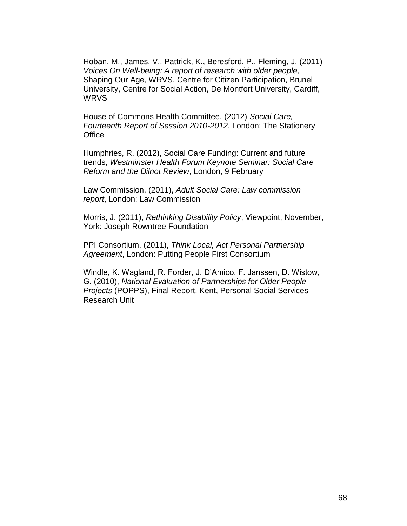Hoban, M., James, V., Pattrick, K., Beresford, P., Fleming, J. (2011) *Voices On Well-being: A report of research with older people*, Shaping Our Age, WRVS, Centre for Citizen Participation, Brunel University, Centre for Social Action, De Montfort University, Cardiff, WRVS

House of Commons Health Committee, (2012) *Social Care, Fourteenth Report of Session 2010-2012*, London: The Stationery **Office** 

Humphries, R. (2012), Social Care Funding: Current and future trends, *Westminster Health Forum Keynote Seminar: Social Care Reform and the Dilnot Review*, London, 9 February

Law Commission, (2011), *Adult Social Care: Law commission report*, London: Law Commission

Morris, J. (2011), *Rethinking Disability Policy*, Viewpoint, November, York: Joseph Rowntree Foundation

PPI Consortium, (2011), *Think Local, Act Personal Partnership Agreement*, London: Putting People First Consortium

Windle, K. Wagland, R. Forder, J. D'Amico, F. Janssen, D. Wistow, G. (2010), *National Evaluation of Partnerships for Older People Projects* (POPPS), Final Report, Kent, Personal Social Services Research Unit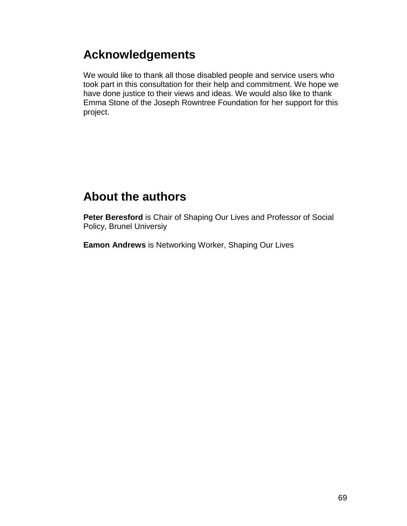# **Acknowledgements**

We would like to thank all those disabled people and service users who took part in this consultation for their help and commitment. We hope we have done justice to their views and ideas. We would also like to thank Emma Stone of the Joseph Rowntree Foundation for her support for this project.

# **About the authors**

**Peter Beresford** is Chair of Shaping Our Lives and Professor of Social Policy, Brunel Universiy

**Eamon Andrews** is Networking Worker, Shaping Our Lives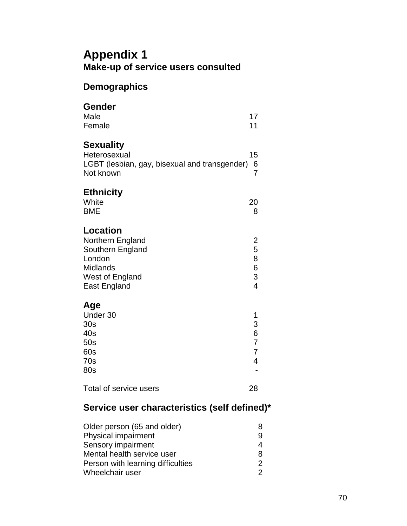## **Appendix 1 Make-up of service users consulted**

#### **Demographics**

### **Gender** Male 17 Female 11 **Sexuality** Heterosexual 15 LGBT (lesbian, gay, bisexual and transgender) 6 Not known 7 **Ethnicity** White 20 BME 8 **Location**  Northern England 2 Southern England 5 London 8 Midlands 6 West of England 3 East England 4 **Age** Under 30 1  $30s$  3 40s 6 50s 7 60s 7 70s 4 80s - Total of service users 28

### **Service user characteristics (self defined)\***

| Older person (65 and older)       | 8 |
|-----------------------------------|---|
| Physical impairment               | 9 |
| Sensory impairment                | 4 |
| Mental health service user        | 8 |
| Person with learning difficulties | 2 |
| Wheelchair user                   | 2 |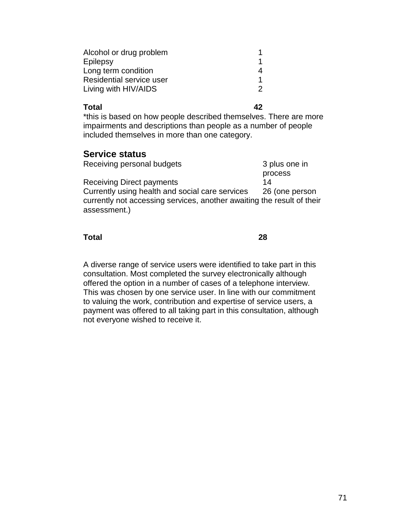| Alcohol or drug problem  |  |
|--------------------------|--|
| Epilepsy                 |  |
| Long term condition      |  |
| Residential service user |  |
| Living with HIV/AIDS     |  |

#### **Total 42**

\*this is based on how people described themselves. There are more impairments and descriptions than people as a number of people included themselves in more than one category.

#### **Service status**

| Receiving personal budgets                                                             | 3 plus one in  |
|----------------------------------------------------------------------------------------|----------------|
|                                                                                        | process        |
| <b>Receiving Direct payments</b>                                                       | 14             |
| Currently using health and social care services                                        | 26 (one person |
| currently not accessing services, another awaiting the result of their<br>assessment.) |                |
|                                                                                        |                |

#### **Total 28**

A diverse range of service users were identified to take part in this consultation. Most completed the survey electronically although offered the option in a number of cases of a telephone interview. This was chosen by one service user. In line with our commitment to valuing the work, contribution and expertise of service users, a payment was offered to all taking part in this consultation, although not everyone wished to receive it.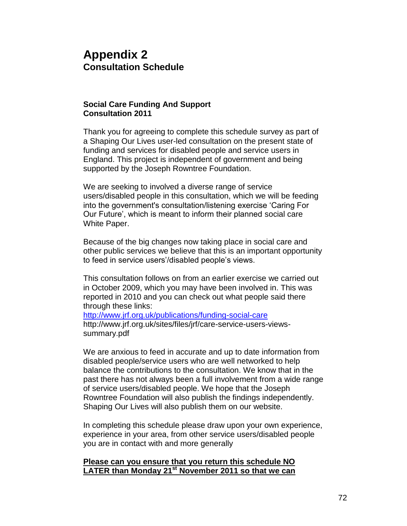## **Appendix 2 Consultation Schedule**

#### **Social Care Funding And Support Consultation 2011**

Thank you for agreeing to complete this schedule survey as part of a Shaping Our Lives user-led consultation on the present state of funding and services for disabled people and service users in England. This project is independent of government and being supported by the Joseph Rowntree Foundation.

We are seeking to involved a diverse range of service users/disabled people in this consultation, which we will be feeding into the government's consultation/listening exercise 'Caring For Our Future', which is meant to inform their planned social care White Paper.

Because of the big changes now taking place in social care and other public services we believe that this is an important opportunity to feed in service users'/disabled people's views.

This consultation follows on from an earlier exercise we carried out in October 2009, which you may have been involved in. This was reported in 2010 and you can check out what people said there through these links:

<http://www.jrf.org.uk/publications/funding-social-care> http://www.jrf.org.uk/sites/files/jrf/care-service-users-viewssummary.pdf

We are anxious to feed in accurate and up to date information from disabled people/service users who are well networked to help balance the contributions to the consultation. We know that in the past there has not always been a full involvement from a wide range of service users/disabled people. We hope that the Joseph Rowntree Foundation will also publish the findings independently. Shaping Our Lives will also publish them on our website.

In completing this schedule please draw upon your own experience, experience in your area, from other service users/disabled people you are in contact with and more generally

#### **Please can you ensure that you return this schedule NO LATER than Monday 21st November 2011 so that we can**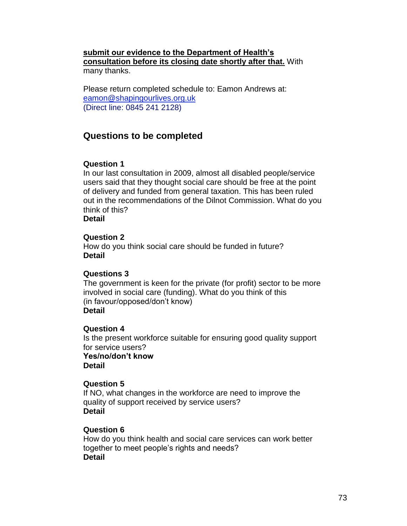#### **submit our evidence to the Department of Health's consultation before its closing date shortly after that.** With many thanks.

Please return completed schedule to: Eamon Andrews at: [eamon@shapingourlives.org.uk](mailto:eamon@shapingourlives.org.uk) (Direct line: 0845 241 2128)

# **Questions to be completed**

## **Question 1**

In our last consultation in 2009, almost all disabled people/service users said that they thought social care should be free at the point of delivery and funded from general taxation. This has been ruled out in the recommendations of the Dilnot Commission. What do you think of this?

**Detail**

## **Question 2**

How do you think social care should be funded in future? **Detail**

## **Questions 3**

The government is keen for the private (for profit) sector to be more involved in social care (funding). What do you think of this (in favour/opposed/don't know) **Detail**

## **Question 4**

Is the present workforce suitable for ensuring good quality support for service users? **Yes/no/don't know Detail**

## **Question 5**

If NO, what changes in the workforce are need to improve the quality of support received by service users? **Detail** 

## **Question 6**

How do you think health and social care services can work better together to meet people's rights and needs? **Detail**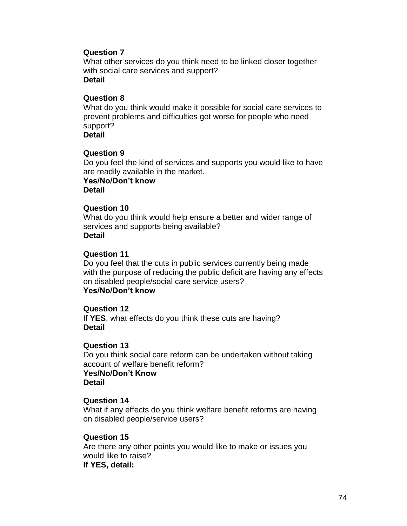#### **Question 7**

What other services do you think need to be linked closer together with social care services and support? **Detail**

#### **Question 8**

What do you think would make it possible for social care services to prevent problems and difficulties get worse for people who need support?

**Detail**

#### **Question 9**

Do you feel the kind of services and supports you would like to have are readily available in the market.

**Yes/No/Don't know Detail**

#### **Question 10**

What do you think would help ensure a better and wider range of services and supports being available? **Detail**

#### **Question 11**

Do you feel that the cuts in public services currently being made with the purpose of reducing the public deficit are having any effects on disabled people/social care service users? **Yes/No/Don't know**

#### **Question 12**

If **YES**, what effects do you think these cuts are having? **Detail**

## **Question 13**

Do you think social care reform can be undertaken without taking account of welfare benefit reform? **Yes/No/Don't Know Detail**

#### **Question 14**

What if any effects do you think welfare benefit reforms are having on disabled people/service users?

## **Question 15**

Are there any other points you would like to make or issues you would like to raise? **If YES, detail:**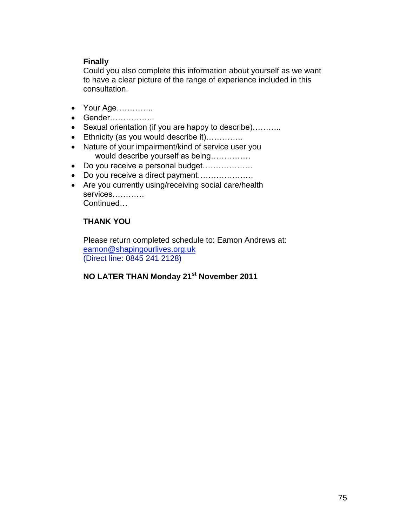## **Finally**

Could you also complete this information about yourself as we want to have a clear picture of the range of experience included in this consultation.

- Your Age…………..
- Gender……………
- Sexual orientation (if you are happy to describe)………..
- Ethnicity (as you would describe it)…………..
- Nature of your impairment/kind of service user you would describe yourself as being……………
- Do you receive a personal budget……………….
- Do you receive a direct payment......................
- Are you currently using/receiving social care/health services………… Continued…

## **THANK YOU**

Please return completed schedule to: Eamon Andrews at: [eamon@shapingourlives.org.uk](mailto:eamon@shapingourlives.org.uk) (Direct line: 0845 241 2128)

# **NO LATER THAN Monday 21st November 2011**